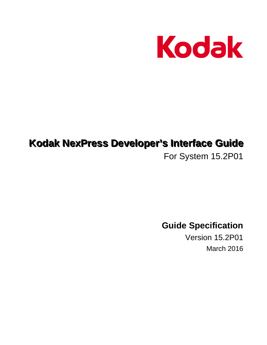

# **Kodak NexPress Developer's Interface Guide**

For System 15.2P01

**Guide Specification** 

Version 15.2P01 March 2016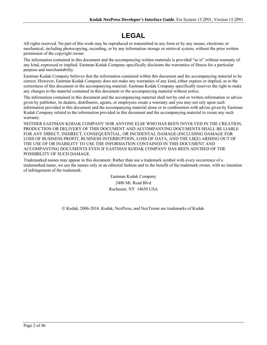# **LEGAL**

All rights reserved. No part of this work may be reproduced or transmitted in any form or by any means, electronic or mechanical, including photocopying, recording, or by any information storage or retrieval system, without the prior written permission of the copyright owner.

The information contained in this document and the accompanying written materials is provided "as is" without warranty of any kind, expressed or implied. Eastman Kodak Company specifically disclaims the warranties of fitness for a particular purpose and merchantability.

Eastman Kodak Company believes that the information contained within this document and the accompanying material to be correct. However, Eastman Kodak Company does not make any warranties of any kind, either express or implied, as to the correctness of this document or the accompanying material. Eastman Kodak Company specifically reserves the right to make any changes to the material contained in this document or the accompanying material without notice.

The information contained in this document and the accompanying material shall not by oral or written information or advice given by publisher, its dealers, distributors, agents, or employees create a warranty and you may not rely upon such information provided in this document and the accompanying material alone or in combination with advise given by Eastman Kodak Company related to the information provided in this document and the accompanying material to create any such warranty.

NEITHER EASTMAN KODAK COMPANY NOR ANYONE ELSE WHO HAS BEEN INVOLVED IN THE CREATION, PRODUCTION OR DELIVERY OF THIS DOCUMENT AND ACCOMPANYING DOCUMENTS SHALL BE LIABLE FOR ANY DIRECT, INDIRECT, CONSEQUENTIAL, OR INCIDENTAL DAMAGE (INCLUDING DAMAGE FOR LOSS OF BUSINESS PROFIT, BUSINESS INTERRUPTION, LOSS OF DATA, AND THE LIKE) ARISING OUT OF THE USE OF OR INABILITY TO USE THE INFORMATION CONTAINED IN THIS DOCUMENT AND ACCOMPANYING DOCUMENTS EVEN IF EASTMAN KODAK COMPANY HAS BEEN ADVISED OF THE POSSIBILITY OF SUCH DAMAGE.

Trademarked names may appear in this document. Rather than use a trademark symbol with every occurrence of a trademarked name, we use the names only in an editorial fashion and to the benefit of the trademark owner, with no intention of infringement of the trademark.

> Eastman Kodak Company 2400 Mt. Read Blvd Rochester, NY 14650 USA

© Kodak, 2006-2016. Kodak, NexPress, and NexTreme are trademarks of Kodak.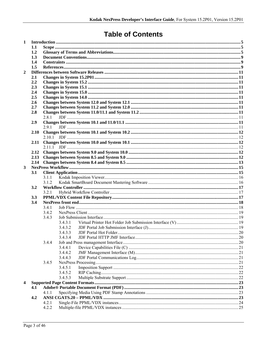# **Table of Contents**

| 1              |            |                |         |  |  |  |  |  |
|----------------|------------|----------------|---------|--|--|--|--|--|
|                | 1.1        |                |         |  |  |  |  |  |
|                | 1.2        |                |         |  |  |  |  |  |
|                | 1.3        |                |         |  |  |  |  |  |
|                | 1.4        |                |         |  |  |  |  |  |
|                | 1.5        |                |         |  |  |  |  |  |
| $\overline{2}$ |            |                |         |  |  |  |  |  |
|                | 2.1        |                |         |  |  |  |  |  |
|                | 2.2        |                |         |  |  |  |  |  |
|                | 2.3        |                |         |  |  |  |  |  |
|                | 2.4<br>2.5 |                |         |  |  |  |  |  |
|                | 2.6        |                |         |  |  |  |  |  |
|                | 2.7        |                |         |  |  |  |  |  |
|                | 2.8        |                |         |  |  |  |  |  |
|                |            | 2.8.1          |         |  |  |  |  |  |
|                | 2.9        |                |         |  |  |  |  |  |
|                |            | 291            |         |  |  |  |  |  |
|                | 2.10       |                |         |  |  |  |  |  |
|                |            | 2.10.1         |         |  |  |  |  |  |
|                | 2.11       |                |         |  |  |  |  |  |
|                |            |                |         |  |  |  |  |  |
|                | 2.12       |                |         |  |  |  |  |  |
|                | 2.13       |                |         |  |  |  |  |  |
|                | 2.14       |                |         |  |  |  |  |  |
| 3              |            |                |         |  |  |  |  |  |
|                | 3.1        |                |         |  |  |  |  |  |
|                |            | 3.1.1          |         |  |  |  |  |  |
|                |            | 3.1.2          |         |  |  |  |  |  |
|                | 3.2        |                |         |  |  |  |  |  |
|                |            | 3.2.1          |         |  |  |  |  |  |
|                | 3.3        |                |         |  |  |  |  |  |
|                | 3.4        |                |         |  |  |  |  |  |
|                |            | 3.4.1<br>3.4.2 |         |  |  |  |  |  |
|                |            | 3.4.3          |         |  |  |  |  |  |
|                |            |                | 3.4.3.1 |  |  |  |  |  |
|                |            |                | 3.4.3.2 |  |  |  |  |  |
|                |            |                | 3.4.3.3 |  |  |  |  |  |
|                |            |                | 3.4.3.4 |  |  |  |  |  |
|                |            | 3.4.4          |         |  |  |  |  |  |
|                |            |                | 3.4.4.1 |  |  |  |  |  |
|                |            |                | 3.4.4.2 |  |  |  |  |  |
|                |            |                | 3.4.4.3 |  |  |  |  |  |
|                |            | 3.4.5          |         |  |  |  |  |  |
|                |            |                | 3.4.5.1 |  |  |  |  |  |
|                |            |                | 3.4.5.2 |  |  |  |  |  |
|                |            |                | 3.4.5.3 |  |  |  |  |  |
| 4              |            |                |         |  |  |  |  |  |
|                | 4.1        |                |         |  |  |  |  |  |
|                |            | 4.1.1          |         |  |  |  |  |  |
|                | 4.2        |                |         |  |  |  |  |  |
|                |            | 4.2.1          |         |  |  |  |  |  |
|                |            | 4.2.2          |         |  |  |  |  |  |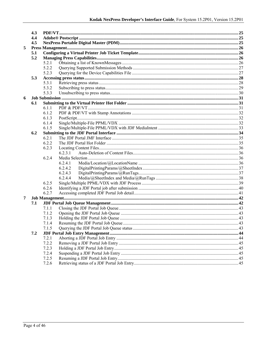|   | 4.3 |                |         |  |
|---|-----|----------------|---------|--|
|   | 4.4 |                |         |  |
|   | 4.5 |                |         |  |
| 5 |     |                |         |  |
|   | 5.1 |                |         |  |
|   | 5.2 |                |         |  |
|   |     | 5.2.1          |         |  |
|   |     | 5.2.2          |         |  |
|   |     | 5.2.3          |         |  |
|   | 5.3 |                |         |  |
|   |     | 5.3.1          |         |  |
|   |     | 5.3.2          |         |  |
|   |     | 5.3.3          |         |  |
| 6 |     |                |         |  |
|   | 6.1 |                |         |  |
|   |     | 6.1.1          |         |  |
|   |     | 6.1.2          |         |  |
|   |     | 6.1.3          |         |  |
|   |     | 6.1.4          |         |  |
|   |     | 6.1.5          |         |  |
|   | 6.2 |                |         |  |
|   |     | 6.2.1          |         |  |
|   |     | 6.2.2          |         |  |
|   |     | 6.2.3          |         |  |
|   |     |                | 6.2.3.1 |  |
|   |     | 6.2.4          |         |  |
|   |     |                | 6.2.4.1 |  |
|   |     |                | 6.2.4.2 |  |
|   |     |                | 6.2.4.3 |  |
|   |     |                | 6.2.4.4 |  |
|   |     | 6.2.5          |         |  |
|   |     | 6.2.6          |         |  |
|   |     | 6.2.7          |         |  |
| 7 |     |                |         |  |
|   | 7.1 |                |         |  |
|   |     | 7.1.1          |         |  |
|   |     | 7.1.2          |         |  |
|   |     | 7.1.3          |         |  |
|   |     |                |         |  |
|   |     | 7.1.4<br>7.1.5 |         |  |
|   |     |                |         |  |
|   | 7.2 |                |         |  |
|   |     | 7.2.1<br>7.2.2 |         |  |
|   |     | 7.2.3          |         |  |
|   |     |                |         |  |
|   |     | 7.2.4          |         |  |
|   |     | 7.2.5          |         |  |
|   |     | 7.2.6          |         |  |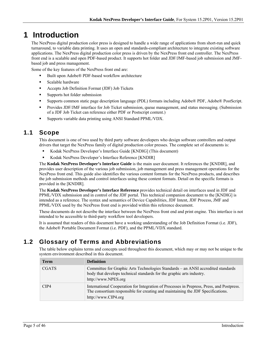# **1 Introduction**

The NexPress digital production color press is designed to handle a wide range of applications from short-run and quick turnaround, to variable data printing. It uses an open and standards-compliant architecture to integrate existing software applications. The NexPress digital production color press is driven by the NexPress front end controller. The NexPress front end is a scalable and open PDF-based product. It supports hot folder and JDF/JMF-based job submission and JMFbased job and press management.

Some of the key features of the NexPress front end are:

- Built upon Adobe® PDF-based workflow architecture
- **Scalable hardware**
- Accepts Job Definition Format (JDF) Job Tickets
- Supports hot folder submission
- Supports common static page description language (PDL) formats including Adobe® PDF, Adobe® PostScript.
- **Provides JDF/JMF interface for Job Ticket submission, queue management, and status messaging. (Submission** of a JDF Job Ticket can reference either PDF or Postscript content.)
- Supports variable data printing using ANSI Standard PPML/VDX.

## **1.1 Scope**

This document is one of two used by third party software developers who design software controllers and output drivers that target the NexPress family of digital production color presses. The complete set of documents is:

- Kodak NexPress Developer's Interface Guide [KNDIG] (This document)
- Kodak NexPress Developer's Interface Reference [KNDIR]

The **Kodak NexPress Developer's Interface Guide** is the main user document. It references the [KNDIR], and provides user description of the various job submission, job management and press management operations for the NexPress front end. This guide also identifies the various content formats for the NexPress products, and describes the job submission methods and control interfaces using these content formats. Detail on the specific formats is provided in the [KNDIR].

The **Kodak NexPress Developer's Interface Reference** provides technical detail on interfaces used in JDF and PPML/VDX submission and in control of the JDF portal. This technical companion document to the [KNDIG] is intended as a reference. The syntax and semantics of Device Capabilities, JDF Intent, JDF Process, JMF and PPML/VDX used by the NexPress front end is provided within this reference document.

These documents do not describe the interface between the NexPress front end and print engine. This interface is not intended to be accessible to third-party workflow tool developers.

It is assumed that readers of this document have a working understanding of the Job Definition Format (i.e. JDF), the Adobe® Portable Document Format (i.e. PDF), and the PPML/VDX standard.

## **1.2 Glossary of Terms and Abbreviations**

The table below explains terms and concepts used throughout this document, which may or may not be unique to the system environment described in this document.

| Term         | <b>Definition</b>                                                                                                                                                                                   |
|--------------|-----------------------------------------------------------------------------------------------------------------------------------------------------------------------------------------------------|
| <b>CGATS</b> | Committee for Graphic Arts Technologies Standards – an ANSI accredited standards<br>body that develops technical standards for the graphic arts industry.<br>http://www.NPES.org                    |
| CIP4         | International Cooperation for Integration of Processes in Prepress, Press, and Postpress.<br>The consortium responsible for creating and maintaining the JDF Specifications.<br>http://www.CIP4.org |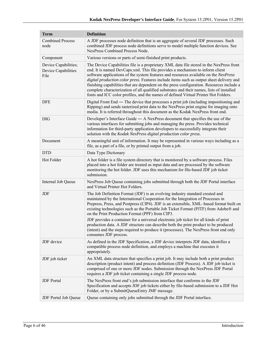| <b>Term</b>                                         | <b>Definition</b>                                                                                                                                                                                                                                                                                                                                                                                                                                                                                                                                                                                                                                                                                      |  |  |  |
|-----------------------------------------------------|--------------------------------------------------------------------------------------------------------------------------------------------------------------------------------------------------------------------------------------------------------------------------------------------------------------------------------------------------------------------------------------------------------------------------------------------------------------------------------------------------------------------------------------------------------------------------------------------------------------------------------------------------------------------------------------------------------|--|--|--|
| <b>Combined Process</b><br>node                     | A JDF processes node definition that is an aggregate of several JDF processes. Such<br>combined JDF process node definitions serve to model multiple function devices. See<br>NexPress Combined Process Node.                                                                                                                                                                                                                                                                                                                                                                                                                                                                                          |  |  |  |
| Component                                           | Various versions or parts of semi-finished print products.                                                                                                                                                                                                                                                                                                                                                                                                                                                                                                                                                                                                                                             |  |  |  |
| Device Capabilities;<br>Device Capabilities<br>File | The Device Capabilities file is a proprietary XML data file stored in the NexPress front<br>end. It is named DevCaps.xml. This file provides a mechanism to inform client<br>software applications of the system features and resources available on the NexPress<br>digital production color press. Features include items such as output sheet delivery and<br>finishing capabilities that are dependent on the press configuration. Resources include a<br>complete characterization of all qualified substrates and their names, lists of installed<br>fonts and ICC color profiles, and the names of defined Virtual Printer Hot Folders.                                                         |  |  |  |
| <b>DFE</b>                                          | Digital Front End — The device that processes a print job (including impositioning and<br>Ripping) and sends rasterized print data to the NexPress print engine for imaging onto<br>media. It is referred throughout this document as the Kodak NexPress front end.                                                                                                                                                                                                                                                                                                                                                                                                                                    |  |  |  |
| <b>DIG</b>                                          | Developer's Interface Guide - A NexPress document that specifies the use of the<br>various interfaces for submitting jobs and managing the press. Provides technical<br>information for third-party application developers to successfully integrate their<br>solution with the Kodak NexPress digital production color press.                                                                                                                                                                                                                                                                                                                                                                         |  |  |  |
| Document                                            | A meaningful unit of information. It may be represented in various ways including as a<br>file, as a part of a file, or by printed output from a job.                                                                                                                                                                                                                                                                                                                                                                                                                                                                                                                                                  |  |  |  |
| <b>DTD</b>                                          | Data Type Dictionary                                                                                                                                                                                                                                                                                                                                                                                                                                                                                                                                                                                                                                                                                   |  |  |  |
| Hot Folder                                          | A hot folder is a file system directory that is monitored by a software process. Files<br>placed into a hot folder are treated as input data and are processed by the software<br>monitoring the hot folder. JDF uses this mechanism for file-based JDF job ticket<br>submission.                                                                                                                                                                                                                                                                                                                                                                                                                      |  |  |  |
| Internal Job Queue                                  | NexPress Job Queue containing jobs submitted through both the JDF Portal interface<br>and Virtual Printer Hot Folders.                                                                                                                                                                                                                                                                                                                                                                                                                                                                                                                                                                                 |  |  |  |
| JDF                                                 | The Job Definition Format (JDF) is an evolving industry standard created and<br>maintained by the International Cooperation for the Integration of Processes in<br>Prepress, Press, and Postpress (CIP4). JDF is an extensible, XML-based format built on<br>existing technologies such as the Portable Job Ticket Format (PJTF) from Adobe® and<br>on the Print Production Format (PPF) from CIP3.<br>JDF provides a container for a universal electronic job ticket for all kinds of print<br>production data. A JDF structure can describe both the print product to be produced<br>(intent) and the steps required to produce it (processes). The NexPress front end only<br>consumes JDF process. |  |  |  |
| JDF device                                          | As defined in the JDF Specification, a JDF device interprets JDF data, identifies a<br>compatible process node definition, and employs a machine that executes it<br>appropriately.                                                                                                                                                                                                                                                                                                                                                                                                                                                                                                                    |  |  |  |
| JDF job ticket                                      | An XML data structure that specifies a print job. It may include both a print product<br>description (product intent) and process definition (JDF Process). A JDF job ticket is<br>comprised of one or more JDF nodes. Submission through the NexPress JDF Portal<br>requires a JDF job ticket containing a single JDF process node.                                                                                                                                                                                                                                                                                                                                                                   |  |  |  |
| <b>JDF</b> Portal                                   | The NexPress front end's job submission interface that conforms to the JDF<br>Specification and accepts JDF job tickets either by file-based submission to a JDF Hot<br>Folder, or by a SubmitQueueEntry JMF message.                                                                                                                                                                                                                                                                                                                                                                                                                                                                                  |  |  |  |
| JDF Portal Job Queue                                | Queue containing only jobs submitted through the JDF Portal interface.                                                                                                                                                                                                                                                                                                                                                                                                                                                                                                                                                                                                                                 |  |  |  |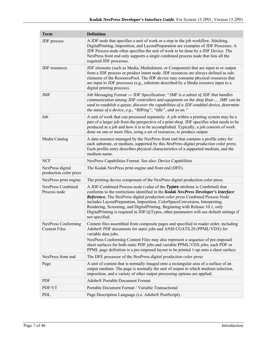| <b>Term</b>                                 | <b>Definition</b>                                                                                                                                                                                                                                                                                                                                                                                                                                                                                                                                 |  |  |  |
|---------------------------------------------|---------------------------------------------------------------------------------------------------------------------------------------------------------------------------------------------------------------------------------------------------------------------------------------------------------------------------------------------------------------------------------------------------------------------------------------------------------------------------------------------------------------------------------------------------|--|--|--|
| JDF process                                 | A JDF node that specifies a unit of work or a step in the job workflow. Stitching,<br>DigitalPrinting, Imposition, and LayoutPreparation are examples of JDF Processes. A<br>JDF Process node often specifies the unit of work to be done by a JDF Device. The<br>NexPress front end only supports a single combined process node that lists all the<br>required JDF processes.                                                                                                                                                                   |  |  |  |
| JDF resources                               | JDF elements (such as Media, MediaIntent, or Component) that are input to or output<br>from a JDF process or product intent node. JDF resources are always defined as sub-<br>elements of the ResourcePool. The JDF device may consume physical resources that<br>are input to JDF processes (e.g., substrate described by a Media resource input to a<br>digital printing process).                                                                                                                                                              |  |  |  |
| JMF                                         | Job Messaging Format — JDF Specification: "JMF is a subset of JDF that handles<br>communication among JDF controllers and equipment on the shop floor JMF can be<br>used to establish a queue, discover the capabilities of a JDF-enabled device, determine<br>the status of a device, e.g., "RIPing", "Idle", and so on."                                                                                                                                                                                                                        |  |  |  |
| Job                                         | A unit of work that can processed separately. A job within a printing system may be a<br>part of a larger job from the perspective of a print shop. JDF specifies what needs to be<br>produced in a job and how it is to be accomplished. Typically, a job consists of work<br>done on one or more files, using a set of resources, to produce output.                                                                                                                                                                                            |  |  |  |
| Media Catalog                               | A data resource managed by the NexPress front end that contains a profile entry for<br>each substrate, or medium, supported by this NexPress digital production color press.<br>Each profile entry describes physical characteristics of a supported medium, and the<br>medium name.                                                                                                                                                                                                                                                              |  |  |  |
| <b>NCF</b>                                  | NexPress Capabilities Format. See also: Device Capabilities                                                                                                                                                                                                                                                                                                                                                                                                                                                                                       |  |  |  |
| NexPress digital<br>production color press  | The Kodak NexPress print engine and front end (DFE).                                                                                                                                                                                                                                                                                                                                                                                                                                                                                              |  |  |  |
| NexPress print engine                       | The printing device component of the NexPress digital production color press                                                                                                                                                                                                                                                                                                                                                                                                                                                                      |  |  |  |
| <b>NexPress Combined</b><br>Process node    | A JDF-Combined Process node (value of the Types attribute is <i>Combined</i> ) that<br>conforms to the restrictions identified in the Kodak NexPress Developer's Interface<br>Reference. The NexPress digital production color press Combined Process Node<br>includes LayoutPreparation, Imposition, ColorSpaceConversion, Interpreting,<br>Rendering, Screening, and DigitalPrinting. Beginning with Release 10.1, only<br>Digital Printing is required in JDF/ $\omega$ Types, other parameters will use default settings if<br>not specified. |  |  |  |
| NexPress Conforming<br><b>Content Files</b> | Content files assembled from composite pages and specified in reader order, including<br>Adobe® PDF documents for static jobs and ANSI CGATS.20 (PPML/VDX) for<br>variable data jobs.<br>NexPress Conforming Content Files may also represent a sequence of pre-imposed<br>sheet surfaces for both static PDF jobs and variable PPML/VDX jobs; each PDF or<br>PPML page definition is a pre-imposed layout to be printed 1-up onto a sheet surface.                                                                                               |  |  |  |
| NexPress front end                          | The DFE processor of the NexPress digital production color press                                                                                                                                                                                                                                                                                                                                                                                                                                                                                  |  |  |  |
| Page                                        | A unit of content that is normally imaged onto a rectangular area of a surface of an<br>output medium. The page is normally the unit of output to which medium selection,<br>imposition, and a variety of other output processing options are applied.                                                                                                                                                                                                                                                                                            |  |  |  |
| <b>PDF</b>                                  | Adobe® Portable Document Format                                                                                                                                                                                                                                                                                                                                                                                                                                                                                                                   |  |  |  |
| PDF/VT                                      | Portable Document Format / Variable Transactional                                                                                                                                                                                                                                                                                                                                                                                                                                                                                                 |  |  |  |
| PDL                                         | Page Description Language (i.e. Adobe® PostScript).                                                                                                                                                                                                                                                                                                                                                                                                                                                                                               |  |  |  |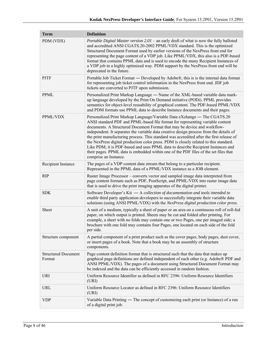| <b>Term</b>                          | <b>Definition</b>                                                                                                                                                                                                                                                                                                                                                                                                                                                                                                                                                                                                                                                                                                           |
|--------------------------------------|-----------------------------------------------------------------------------------------------------------------------------------------------------------------------------------------------------------------------------------------------------------------------------------------------------------------------------------------------------------------------------------------------------------------------------------------------------------------------------------------------------------------------------------------------------------------------------------------------------------------------------------------------------------------------------------------------------------------------------|
| PDM (VDX)                            | Portable Digital Master version 2.01 - an early draft of what is now the fully balloted<br>and accredited ANSI CGATS.20-2002 PPML/VDX standard. This is the optimized<br>Structured Document Format used by earlier versions of the NexPress front end for<br>representing the page content of a VDP job. Like PPML/VDX, this also is a PDF-based<br>format that contains PPML data and is used to encode the many Recipient Instances of<br>a VDP job in a highly optimized way. PDM support by the NexPress front end will be<br>deprecated in the future.                                                                                                                                                                |
| <b>PJTF</b>                          | Portable Job Ticket Format — Developed by Adobe®, this is is the internal data format<br>for representing job ticket control information in the NexPress front end. JDF job<br>tickets are converted to PJTF upon submission.                                                                                                                                                                                                                                                                                                                                                                                                                                                                                               |
| <b>PPML</b>                          | Personalized Print Markup Language - Name of the XML-based variable data mark-<br>up language developed by the Print On Demand initiative (PODi). PPML provides<br>semantics for object-level reusability of graphical content. The PDF-based PPML/VDX<br>and PDM formats use PPML data to describe Instance documents and their pages.                                                                                                                                                                                                                                                                                                                                                                                     |
| PPML/VDX                             | Personalized Print Markup Language/Variable Data eXchange — The CGATS.20<br>ANSI standard PDF and PPML-based file format for representing variable content<br>documents. A Structured Document Format that may be device and workflow-<br>independent. It separates the variable data creative design process from the details of<br>the print manufacturing process. This standard was accredited after the first release of<br>the NexPress digital production color press. PDM is closely related to this standard.<br>Like PDM, it is PDF-based and uses PPML data to describe Recipient Instances and<br>their pages. PPML data is embedded within one of the PDF files of the set files that<br>comprise an Instance. |
| Recipient Instance                   | The pages of a VDP content data stream that belong to a particular recipient.<br>Represented in the PPML data of a PPML/VDX instance as a JOB element.                                                                                                                                                                                                                                                                                                                                                                                                                                                                                                                                                                      |
| <b>RIP</b>                           | Raster Image Processor – converts vector and sampled image data interpreted from<br>page content formats such as PDF, PostScript, and PPML/VDX into raster image data<br>that is used to drive the print imaging apparatus of the digital printer.                                                                                                                                                                                                                                                                                                                                                                                                                                                                          |
| <b>SDK</b>                           | Software Developer's Kit $-A$ collection of documentation and tools intended to<br>enable third party application developers to successfully integrate their variable data<br>solutions (using ANSI PPML/VDX) with the NexPress digital production color press.                                                                                                                                                                                                                                                                                                                                                                                                                                                             |
| Sheet                                | A unit of a medium, typically a sheet of paper or an area on a continuous roll of roll-fed<br>paper, on which output is printed. Sheets may be cut and folded after printing. For<br>example, a sheet with no folds may contain one or two Pages, one per imaged side; a<br>brochure with one fold may contains four Pages, one located on each side of the fold<br>per side.                                                                                                                                                                                                                                                                                                                                               |
| Structure component                  | A partial component of a print product such as the cover pages, body pages, dust cover,<br>or insert pages of a book. Note that a book may be an assembly of structure<br>components.                                                                                                                                                                                                                                                                                                                                                                                                                                                                                                                                       |
| <b>Structured Document</b><br>Format | Page content definition format that is structured such that the data that makes up<br>graphical page definitions are defined independent of each other (e.g. Adobe® PDF and<br>ANSI PPML/VDX). The pages of a document using Structured Document Format may<br>be indexed and the data can be efficiently accessed in random fashion.                                                                                                                                                                                                                                                                                                                                                                                       |
| <b>URI</b>                           | Uniform Resource Identifier as defined in RFC 2396: Uniform Resource Identifiers<br>(URI)                                                                                                                                                                                                                                                                                                                                                                                                                                                                                                                                                                                                                                   |
| URL                                  | Uniform Resource Locator as defined in RFC 2396: Uniform Resource Identifiers<br>(URI)                                                                                                                                                                                                                                                                                                                                                                                                                                                                                                                                                                                                                                      |
| <b>VDP</b>                           | Variable Data Printing — The concept of customizing each print (or Instance) of a run<br>of a digital print job.                                                                                                                                                                                                                                                                                                                                                                                                                                                                                                                                                                                                            |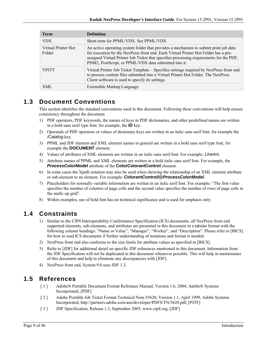| <b>Term</b>                   | <b>Definition</b>                                                                                                                                                                                                                                                                                                               |
|-------------------------------|---------------------------------------------------------------------------------------------------------------------------------------------------------------------------------------------------------------------------------------------------------------------------------------------------------------------------------|
| <b>VDX</b>                    | Short term for PPML/VDX. See PPML/VDX                                                                                                                                                                                                                                                                                           |
| Virtual Printer Hot<br>Folder | An active operating system folder that provides a mechanism to submit print job data<br>for execution by the NexPress front end. Each Virtual Printer Hot Folder has a pre-<br>assigned Virtual Printer Job Ticket that specifies processing requirements for the PDF,<br>PDM2, PostScript, or PPML/VDX data submitted into it. |
| <b>VPITT</b>                  | Virtual Printer Job Ticket Template – Specifies settings required by NexPress front end<br>to process content files submitted into a Virtual Printer Hot Folder. The NexPress<br>Client software is used to specify its settings.                                                                                               |
| XML                           | Extensible Markup Language                                                                                                                                                                                                                                                                                                      |

## **1.3 Document Conventions**

This section identifies the standard conventions used in this document. Following these conventions will help ensure consistency throughout the document.

- 1) PDF operators, PDF keywords, the names of keys in PDF dictionaries, and other predefined names are written in a bold sans serif type font; for example, the **ID** key.
- 2) Operands of PDF operators or values of dictionary keys are written in an italic sans serif font, for example the */Catalog* key.
- 3) PPML and JDF element and XML element names in general are written in a bold sans serif type font, for example the **DOCUMENT** element.
- 4) Values of attributes of XML elements are written in an italic sans serif font. For example: *LineArt.*
- 5) Attribute names of PPML and XML elements are written in a bold italic sans serif font. For example, the *ProcessColorModel* attribute of the **ColorColorantControl** element.
- 6) In some cases the Xpath notation may also be used when showing the relationship of an XML element attribute or sub-element to an element. For example: *ColorantControl/@ProcessColorModel*.
- 7) Placeholders for normally variable information are written in an italic serif font. For example: "The first value specifies the number of *columns* of page cells and the second value specifies the number of *rows* of page cells in the multi–up grid".
- 8) Within examples, use of bold font has no technical significance and is used for emphasis only.

## **1.4 Constraints**

- 1) Similar to the CIP4 Interoperability Conformance Specification (ICS) documents, all NexPress front end supported elements, sub-elements, and attributes are presented in this document in a tabular format with the following column headings: "Name or Value", "Manager", "Worker", and "Description". Please refer to [BICS] for how to read ICS documents if further understanding of notations and format is needed.
- 2) NexPress front end also conforms to the size limits for attribute values as specified in [BICS].
- 3) Refer to [JDF] for additional detail on specific JDF references mentioned in this document. Information from the JDF Specification will not be duplicated in this document whenever possible. This will help in maintenance of this document and help to eliminate any discrepancies with [JDF].
- 4) NexPress front end, System 9.0 uses JDF 1.3.

## **1.5 References**

- [ 1 ] Adobe® Portable Document Format Reference Manual, Version 1.6, 2004, Adobe® Systems Incorporated, [PDF]
- [ 2 ] Adobe Portable Job Ticket Format Technical Note #5620, Version 1.1, April 1999, Adobe Systems Incorporated, http://partners.adobe.com/asn/developer/PDFS/TN/5620.pdf, [PJTF]
- [ 3 ] JDF Specification, Release 1.3, September 2005, www.cip4.org, [JDF]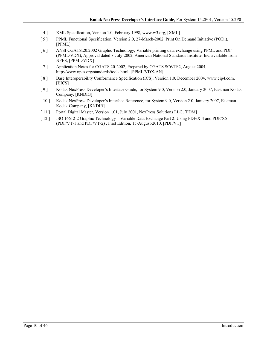- [ 4 ] XML Specification, Version 1.0, February 1998, www.w3.org, [XML]
- [ 5 ] PPML Functional Specification, Version 2.0, 27-March-2002, Print On Demand Initiative (PODi), [PPML]
- [ 6 ] ANSI CGATS.20:2002 Graphic Technology, Variable printing data exchange using PPML and PDF (PPML/VDX), Approval dated 8-July-2002, American National Standards Institute, Inc. available from NPES, [PPML/VDX]
- [ 7 ] Application Notes for CGATS.20-2002, Prepared by CGATS SC6/TF2, August 2004, http://www.npes.org/standards/tools.html, [PPML/VDX-AN]
- [ 8 ] Base Interoperability Conformance Specification (ICS), Version 1.0, December 2004, www.cip4.com, [BICS]
- [ 9 ] Kodak NexPress Developer's Interface Guide, for System 9.0, Version 2.0, January 2007, Eastman Kodak Company, [KNDIG]
- [ 10 ] Kodak NexPress Developer's Interface Reference, for System 9.0, Version 2.0, January 2007, Eastman Kodak Company, [KNDIR]
- [ 11 ] Portal Digital Master, Version 1.01, July 2001, NexPress Solutions LLC, [PDM]
- [ 12 ] ISO 16612-2 Graphic Technology Variable Data Exchange Part 2: Using PDF/X-4 and PDF/X5 (PDF/VT-1 and PDF/VT-2) , First Edition, 15-August-2010. [PDF/VT]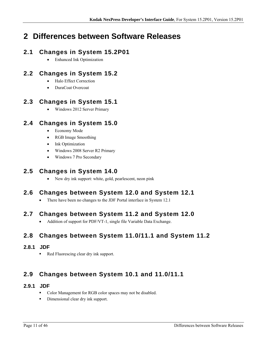# **2 Differences between Software Releases**

## **2.1 Changes in System 15.2P01**

Enhanced Ink Optimization

## **2.2 Changes in System 15.2**

- Halo Effect Correction
- DuraCoat Overcoat

## **2.3 Changes in System 15.1**

Windows 2012 Server Primary

## **2.4 Changes in System 15.0**

- Economy Mode
- RGB Image Smoothing
- Ink Optimization
- Windows 2008 Server R2 Primary
- Windows 7 Pro Secondary

## **2.5 Changes in System 14.0**

New dry ink support: white, gold, pearlescent, neon pink

## **2.6 Changes between System 12.0 and System 12.1**

• There have been no changes to the JDF Portal interface in System 12.1

## **2.7 Changes between System 11.2 and System 12.0**

Addition of support for PDF/VT-1, single file Variable Data Exchange.

## **2.8 Changes between System 11.0/11.1 and System 11.2**

## **2.8.1 JDF**

Red Fluorescing clear dry ink support.

## **2.9 Changes between System 10.1 and 11.0/11.1**

### **2.9.1 JDF**

- Color Management for RGB color spaces may not be disabled.
- **Dimensional clear dry ink support.**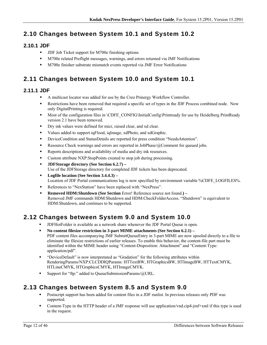## **2.10 Changes between System 10.1 and System 10.2**

## **2.10.1 JDF**

- **JDF Job Ticket support for M700e finishing options**
- M700e related Preflight messages, warnings, and errors returned via JMF Notifications
- M700e finisher substrate mismatch events reported via JMF Error Notifications

## **2.11 Changes between System 10.0 and System 10.1**

### **2.11.1 JDF**

- A multicast locator was added for use by the Creo Prinergy Workflow Controller.
- Restrictions have been removed that required a specific set of types in the JDF Process combined node. Now only DigitalPrinting is required.
- Most of the configuration files in \CDFE\_CONFIG\InitialConfig\Printready for use by Heidelberg PrintReady version 2.1 have been removed.
- Dry ink values were defined for micr, raised clear, and xd clear.
- Values added to support iqFlood, iqImage, xdPhoto, and xdGraphic.
- DeviceCondition and StatusDetails are reported for press condition "NeedsAttention".
- **Resource Check warnings and errors are reported in JobPhase/@Comment for queued jobs.**
- Reports descriptions and availability of media and dry ink resources.
- Custom attribute NXP:StopPoints created to stop job during processing.
- **JDFStorage directory (See Section 6.2.7)**  Use of the JDFStorage directory for completed JDF tickets has been deprecated.
- **Logfile location (See Section 3.4.4.3)**  Location of JDF Portal communications log is now specified by environment variable %CDFE\_LOGFILES%.
- References to "NexStation" have been replaced with "NexPress".
- **Removed HDM:Shutdown (See Section** Error! Reference source not found.**)**  Removed JMF commands HDM:Shutdown and HDM:CheckFolderAccess. "Shutdown" is equivalent to HDM:Shutdown, and continues to be supported.

## **2.12 Changes between System 9.0 and System 10.0**

- JDFHotFolder is available as a network share whenever the JDF Portal Queue is open.
- **No content filesize restriction in 3-part MIME attachments (See Section 6.2.1)**  PDF content files accompanying JMF SubmitQueueEntry in 3-part MIME are now spooled directly to a file to eliminate the filesize restrictions of earlier releases. To enable this behavior, the content-file part must be identified within the MIME header using "Content-Disposition: Attachment" and "Content-Type: application/pdf".
- "DeviceDefault" is now interpretated as "Gradation" for the following attributes within RenderingParams/NXP:CLCDDIQParams: HTTextBW, HTGraphicsBW, HTImageBW, HTTextCMYK, HTLineCMYK, HTGraphicsCMYK, HTImageCMYK.
- Support for "ftp:" added to QueueSubmissionParams/@URL.

## **2.13 Changes between System 8.5 and System 9.0**

- Postscript support has been added for content files in a JDF runlist. In previous releases only PDF was supported.
- Content-Type in the HTTP header of a JMF response will use application/vnd.cip4-jmf+xml if this type is used in the request.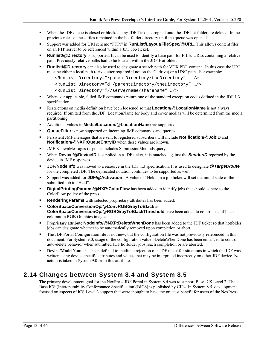- When the JDF queue is closed or blocked, any JDF Tickets dropped onto the JDF hot folder are deleted. In the previous release, these files remained in the hot folder directory until the queue was opened.
- Support was added for URI scheme "FTP:" in **RunList/Layout/FileSpec/@URL**. This allows content files on an FTP server to be referenced within a JDF JobTicket.
- **Runlist/@Directory** is supported. It can be used to identify a base path for FILE: URLs containing a relative path. Previously relative paths had to be located within the JDF Hotfolder.
- **Runlist/@Directory** can also be used to designate a search path for VDX PDL content. In this case the URL must be either a local path (drive letter required if not on the C: drive) or a UNC path. For example:

```
<RunList Directory="/parentDirectory/theDirectory" …/> 
<RunList Directory="d:/parentDirectory/theDirectory" …/>
```

```
<RunList Directory="//servername/sharename" …/>
```
- Whenever applicable, failed JMF commands return one of the standard exception codes defined in the JDF 1.3 specification.
- Restrictions on media definition have been loosened so that **Location/@LocationName** is not always required. If omitted from the JDF, LocationName for body and cover medias will be determined from the media partitioning.
- Additional values in **Media/Location/@LocationName** are supported.
- **QueueFilter** is now supported on incoming JMF commands and queries.
- **Persistent JMF messages that are sent to registered subscribers will include <b>Notification/@JobID** and **Notification/@NXP:QueueEntryID** when these values are known.
- JMF KnownMessages response includes SubmissionMethods query.
- **When Device/@DeviceID** is supplied in a JDF ticket, it is matched against the **SenderID** reported by the device in JMF responses.
- **JDF/NodeInfo** was moved to a resource in the JDF 1.3 specification. It is used to designate *@TargetRoute* for the completed JDF. The deprecated notation continues to be supported as well.
- Support was added for **JDF/@Activation**. A value of "Held" in a job ticket will set the initial state of the submitted job to "Held".
- **DigitalPrintingParams/@NXP:ColorFlow** has been added to identify jobs that should adhere to the ColorFlow policy of the press.
- **Rendering Params** with selected proprietary attributes has been added.
- **ColorSpaceConversionOp/@ConvRGBGrayToBlack** and **ColorSpaceConversionOp/@RGBGrayToBlackThreshold** have been added to control use of black colorant in RGB Graphics images.
- **Proprietary attribute NodeInfo/@NXP:DeleteWhenDone** has been added to the JDF ticket so that hotfolder jobs can designate whether to be automatically removed upon completion or abort.
- The JDF Portal Configuration file is not new, but the configuration file was not previously referenced in this document. For System 9.0, usage of the configuration value bDeleteWhenDone has been enhanced to control auto-delete behavior when submitted JDF hotfolder jobs reach completion or are aborted.
- **Device/ModelName** has been defined to facilitate rejection of a JDF ticket for situations in which the JDF was written using device-specific attributes and values that may be interpreted incorrectly on other JDF device. No action is taken in System 9.0 from this attribute.

## **2.14 Changes between System 8.4 and System 8.5**

The primary development goal for the NexPress JDF Portal in System 8.4 was to support Base ICS Level 2. The Base ICS (Interoperability Conformance Specification)[BICS] is published by CIP4. In System 8.5, development focused on aspects of ICS Level 3 support that were thought to have the greatest benefit for users of the NexPress.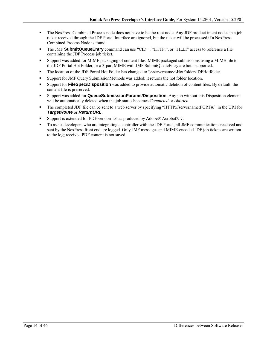- The NexPress Combined Process node does not have to be the root node. Any JDF product intent nodes in a job ticket received through the JDF Portal Interface are ignored, but the ticket will be processed if a NexPress Combined Process Node is found.
- The JMF **SubmitQueueEntry** command can use "CID:", "HTTP:", or "FILE:" access to reference a file containing the JDF Process job ticket.
- Support was added for MIME packaging of content files. MIME packaged submissions using a MIME file to the JDF Portal Hot Folder, or a 3-part MIME with JMF SubmitQueueEntry are both supported.
- The location of the JDF Portal Hot Folder has changed to \\servername>\HotFolder\JDFHotfolder.
- Support for JMF Query SubmissionMethods was added; it returns the hot folder location.
- Support for **FileSpec/Disposition** was added to provide automatic deletion of content files. By default, the content file is preserved.
- Support was added for **QueueSubmissionParams/Disposition**. Any job without this Disposition element will be automatically deleted when the job status becomes *Completed* or *Aborted.*
- The completed JDF file can be sent to a web server by specifying "HTTP://servername:PORT#/" in the URI for *TargetRoute* or *ReturnURL*.
- Support is extended for PDF version 1.6 as produced by Adobe® Acrobat® 7.
- To assist developers who are integrating a controller with the JDF Portal, all JMF communications received and sent by the NexPress front end are logged. Only JMF messages and MIME-encoded JDF job tickets are written to the log; received PDF content is not saved.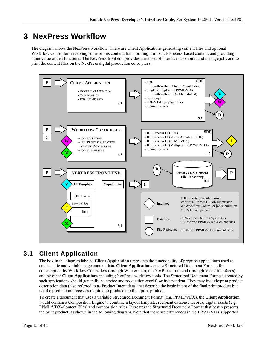# **3 NexPress Workflow**

The diagram shows the NexPress workflow. There are Client Applications generating content files and optional Workflow Controllers receiving some of this content, transforming it into JDF Process-based content, and providing other value-added functions. The NexPress front end provides a rich set of interfaces to submit and manage jobs and to print the content files on the NexPress digital production color press.



## **3.1 Client Application**

The box in the diagram labeled **Client Application** represents the functionality of prepress applications used to create static and variable page content data. **Client Applications** create Structured Document Formats for consumption by Workflow Controllers (through W interface), the NexPress front end (through V or J interfaces), and by other **Client Applications** including NexPress workflow tools. The Structured Document Formats created by such applications should generally be device and production-workflow independent. They may include print product description data (also referred to as Product Intent data) that describe the basic intent of the final print product but not the production processes required to produce the final print product.

To create a document that uses a variable Structured Document Format (e.g. PPML/VDX), the **Client Application** would contain a Composition Engine to combine a layout template, recipient database records, digital assets (e.g. PPML/VDX-Content Files) and composition rules. It creates the Structured Document Format that best represents the print product, as shown in the following diagram. Note that there are differences in the PPML/VDX supported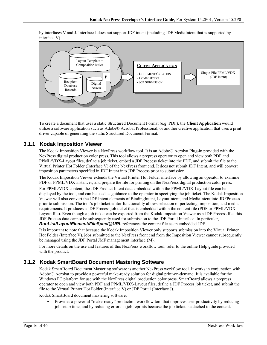**CLIENT APPLICATION** - DOCUMENT CREATION - COMPOSITION Digital **Digital** - JOB SUBMISSION Assets Single-File PPML/VDX (JDF Intent) Recipient Database Records Layout Template + Composition Rules **P** 

by interfaces V and J. Interface J does not support JDF intent (including JDF MediaIntent that is supported by interface V).

To create a document that uses a static Structured Document Format (e.g. PDF), the **Client Application** would utilize a software application such as Adobe® Acrobat Professional, or another creative application that uses a print driver capable of generating the static Structured Document Format.

### **3.1.1 Kodak Imposition Viewer**

The Kodak Imposition Viewer is a NexPress workflow tool. It is an Adobe® Acrobat Plug-in provided with the NexPress digital production color press. This tool allows a prepress operator to open and view both PDF and PPML/VDX-Layout files, define a job ticket, embed a JDF Process ticket into the PDF, and submit the file to the Virtual Printer Hot Folder (Interface V) of the NexPress front end. It does not submit JDF Intent, and will convert imposition parameters specified in JDF Intent into JDF Process prior to submission.

The Kodak Imposition Viewer extends the Virtual Printer Hot Folder interface by allowing an operator to examine PDF or PPML/VDX instances, and prepare the file for printing on the NexPress digital production color press.

For PPML/VDX content, the JDF Product Intent data embedded within the PPML/VDX-Layout file can be displayed by the tool, and can be used as guidance to the operator in specifying the job ticket. The Kodak Imposition Viewer will also convert the JDF Intent elements of BindingIntent, LayoutIntent, and MediaIntent into JDFProcess prior to submission. The tool's job ticket editor functionality allows selection of perfecting, imposition, and media requirements. It produces a JDF Process job ticket that is embedded within the content file (PDF or PPML/VDX-Layout file). Even though a job ticket can be exported from the Kodak Imposition Viewer as a JDF Process file, this JDF Process data cannot be subsequently used for submission to the JDF Portal Interface. In particular, *RunList/LayoutElement/FileSpec/@URL* references the content file as an embedded JDF.

It is important to note that because the Kodak Imposition Viewer only supports submission into the Virtual Printer Hot Folder (Interface V), jobs submitted to the NexPress front end from the Imposition Viewer cannot subsequently be managed using the JDF Portal JMF management interface (M).

For more details on the use and features of this NexPress workflow tool, refer to the online Help guide provided with the product.

### **3.1.2 Kodak SmartBoard Document Mastering Software**

Kodak SmartBoard Document Mastering software is another NexPress workflow tool. It works in conjunction with Adobe® Acrobat to provide a powerful make-ready solution for digital print-on-demand. It is available for the Windows PC platform for use with the NexPress digital production color press. SmartBoard allows a prepress operator to open and view both PDF and PPML/VDX-Layout files, define a JDF Process job ticket, and submit the file to the Virtual Printer Hot Folder (Interface V) or JDF Portal (Interface J).

Kodak SmartBoard document mastering software:

 Provides a powerful "make-ready" production workflow tool that improves user productivity by reducing job setup time, and by reducing errors in job reprints because the job ticket is attached to the content.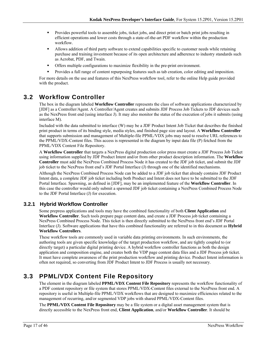- **Provides powerful tools to assemble jobs, ticket jobs, and direct print or batch print jobs resulting in** efficient operations and lower costs through a state-of-the-art PDF workflow within the production workflow.
- Allows addition of third party software to extend capabilities specific to customer needs while retaining purchase and training investment because of its open architecture and adherence to industry standards such as Acrobat, PDF, and Twain.
- Offers multiple configurations to maximize flexibility in the pre-print environment.
- Provides a full range of content repurposing features such as tab creation, color editing and imposition.

For more details on the use and features of this NexPress workflow tool, refer to the online Help guide provided with the product.

## **3.2 Workflow Controller**

The box in the diagram labeled **Workflow Controller** represents the class of software applications characterized by [JDF] as a Controller/Agent. A Controller/Agent creates and submits JDF Process Job Tickets to JDF devices such as the NexPress front end (using interface J). It may also monitor the status of the execution of jobs it submits (using interface M).

Included with the data submitted to interface (W) may be a JDF Product Intent Job Ticket that describes the finished print product in terms of its binding style, media styles, and finished page size and layout. A **Workflow Controller** that supports submission and management of Multiple-file PPML/VDX jobs may need to resolve URL references to the PPML/VDX-Content files. This access is represented in the diagram by input data file (P) fetched from the PPML/VDX Content File Repository.

A **Workflow Controller** that targets a NexPress digital production color press must create a JDF Process Job Ticket using information supplied by JDF Product Intent and/or from other product description information. The **Workflow Controller** must add the NexPress Combined Process Node it has created to the JDF job ticket, and submit the JDF job ticket to the NexPress front end's JDF Portal Interface (J) through one of the identified mechanisms.

Although the NexPress Combined Process Node can be added to a JDF job ticket that already contains JDF Product Intent data, a complete JDF job ticket including both Product and Intent does not have to be submitted to the JDF Portal Interface. Spawning, as defined in [JDF], may be an implemented feature of the **Workflow Controller**. In this case the controller would only submit a spawned JDF job ticket containing a NexPress Combined Process Node to the JDF Portal Interface (J) for execution.

### **3.2.1 Hybrid Workflow Controller**

Some prepress applications and tools may have the combined functionality of both **Client Application** and **Workflow Controller**. Such tools prepare page content data, and create a JDF Process job ticket containing a NexPress Combined Process Node. This ticket is then directly submitted to the NexPress front end's JDF Portal Interface (J). Software applications that have this combined functionality are referred to in this document as **Hybrid Workflow Controllers**.

These workflow tools are commonly used in variable data printing environments. In such environments, the authoring tools are given specific knowledge of the target production workflow, and are tightly coupled to (or directly target) a particular digital printing device. A hybrid workflow controller functions as both the design application and composition engine, and creates both the VDP page content data files and a JDF Process job ticket. It must have complete awareness of the print production workflow and printing device. Product Intent information is often not required, so converting from JDF Product Intent to JDF Process is usually not necessary.

## **3.3 PPML/VDX Content File Repository**

The element in the diagram labeled **PPML/VDX Content File Repository** represents the workflow functionality of a PDF content repository or file system that stores PPML/VDX-Content files external to the NexPress front end. A repository is useful in Multiple-file PPML/VDX workflows that are designed to maximize efficiencies related to the management of recurring, and/or segmented VDP jobs with shared PPML/VDX-Content files.

The **PPML/VDX Content File Repository** may be a file system or a digital asset management system that is directly accessible to the NexPress front end, **Client Application**, and/or **Workflow Controller**. It should be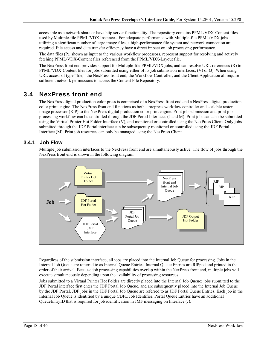accessible as a network share or have http server functionality. The repository contains PPML/VDX-Content files used by Multiple-file PPML/VDX Instances. For adequate performance with Multiple-file PPML/VDX jobs utilizing a significant number of large image files, a high-performance file system and network connection are required. File access and data transfer efficiency have a direct impact on job processing performance.

The data files (P), shown as input to the various workflow processors, represent support for resolving and actively fetching PPML/VDX-Content files referenced from the PPML/VDX-Layout file.

The NexPress front end provides support for Multiple-file PPML/VDX jobs, and can resolve URL references (R) to PPML/VDX-Content files for jobs submitted using either of its job submission interfaces, (V) or (J). When using URL access of type "file," the NexPress front end, the Workflow Controller, and the Client Application all require sufficient network permissions to access the Content File Repository.

## **3.4 NexPress front end**

The NexPress digital production color press is comprised of a NexPress front end and a NexPress digital production color print engine. The NexPress front end functions as both a prepress workflow controller and scalable raster image processor (RIP) to the NexPress digital production color print engine. Print job submission and print job processing workflow can be controlled through the JDF Portal Interfaces (J and M). Print jobs can also be submitted using the Virtual Printer Hot Folder Interface (V), and monitored or controlled using the NexPress Client. Only jobs submitted through the JDF Portal interface can be subsequently monitored or controlled using the JDF Portal Interface (M). Print job resources can only be managed using the NexPress Client.

### **3.4.1 Job Flow**

Multiple job submission interfaces to the NexPress front end are simultaneously active. The flow of jobs through the NexPress front end is shown in the following diagram.



Regardless of the submission interface, all jobs are placed into the Internal Job Queue for processing. Jobs in the Internal Job Queue are referred to as Internal Queue Entries. Internal Queue Entries are RIPped and printed in the order of their arrival. Because job processing capabilities overlap within the NexPress front end, multiple jobs will execute simultaneously depending upon the availability of processing resources.

Jobs submitted to a Virtual Printer Hot Folder are directly placed into the Internal Job Queue; jobs submitted to the JDF Portal interface first enter the JDF Portal Job Queue, and are subsequently placed into the Internal Job Queue by the JDF Portal. JDF jobs in the JDF Portal Job Queue are referred to as JDF Portal Queue Entries. Each job in the Internal Job Queue is identified by a unique CDFE Job Identifier. Portal Queue Entries have an additional QueueEntryID that is required for job identification in JMF messaging on Interface (J).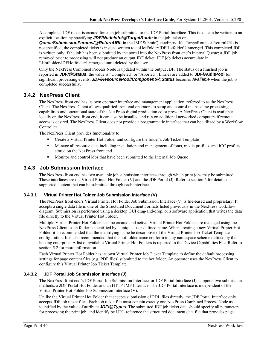A completed JDF ticket is created for each job submitted to the JDF Portal Interface. This ticket can be written to an explicit location by specifying *JDF/NodeInfo/@TargetRoute* in the job ticket or

*QueueSubmissionParams/@ReturnURL* in the JMF SubmitQueueEntry. If a TargetRoute or ReturnURL is not specified, the completed ticket is instead written to c:\HotFolder\JDFHotfolder\Unmerged. This completed JDF is written only if the job has been submitted by the portal into the NexPress front end's Internal Queue; a JDF job removed prior to processing will not produce an output JDF ticket. JDF job tickets accumulate in \\HotFolder\JDFHotfolder\Unmerged until deleted by the user.

Only the NexPress Combined Process Node is updated within the output JDF. The status of a finished job is reported in *JDF/@Status*; the value is "Completed" or "Aborted". Entries are added to **JDF/AuditPool** for significant processing events. *JDF/ResourcePool/Component/@Status* becomes *Available* when the job is completed successfully.

### **3.4.2 NexPress Client**

The NexPress front end has its own operator interface and management application, referred to as the NexPress Client. The NexPress Client allows qualified front end operators to setup and control the baseline processing capabilities and operational state of the NexPress digital production color press. A NexPress Client is available locally on the NexPress front end; it can also be installed and run on additional networked computers if remote access is desired. The NexPress Client does not provide a programmatic interface that can be utilized by a Workflow Controller.

The NexPress Client provides functionality to

- Create a Virtual Printer Hot Folder and configure the folder's Job Ticket Template
- Manage all resource data including installation and management of fonts, media profiles, and ICC profiles stored on the NexPress front end
- Monitor and control jobs that have been submitted to the Internal Job Queue

### **3.4.3 Job Submission Interface**

The NexPress front end has two available job submission interfaces through which print jobs may be submitted. These interfaces are the Virtual Printer Hot Folder (V) and the JDF Portal (J). Refer to section 6 for details on supported content that can be submitted through each interface.

#### **3.4.3.1 Virtual Printer Hot Folder Job Submission Interface (V)**

The NexPress front end's Virtual Printer Hot Folder Job Submission Interface (V) is file-based and proprietary. It accepts a single data file in one of the Structured Document Formats listed previously in the NexPress workflow diagram. Submission is performed using a desktop GUI drag-and-drop, or a software application that writes the data file directly to the Virtual Printer Hot Folder.

Multiple Virtual Printer Hot Folders can be created and active. Virtual Printer Hot Folders are managed using the NexPress Client; each folder is identified by a unique, user-defined name. When creating a new Virtual Printer Hot Folder, it is recommended that the identifying name be descriptive of the Virtual Printer Job Ticket Template configuration. It is also recommended that the hot folder name conform to any namespace scheme defined by the hosting enterprise. A list of available Virtual Printer Hot Folders is reported in the Device Capabilities File. Refer to section 5.2 for more information.

Each Virtual Printer Hot Folder has its own Virtual Printer Job Ticket Template to define the default processing settings for page content files (e.g. PDF files) submitted to the hot folder. An operator uses the NexPress Client to configure this Virtual Printer Job Ticket Template.

#### **3.4.3.2 JDF Portal Job Submission Interface (J)**

The NexPress front end's JDF Portal Job Submission Interface, or JDF Portal Interface (J), supports two submission methods: a JDF Portal Hot Folder and an HTTP JMF Interface. The JDF Portal Interface is independent of the Virtual Printer Hot Folder Job Submission Interface (V).

Unlike the Virtual Printer Hot Folder that accepts submission of PDL files directly, the JDF Portal Interface only accepts JDF job ticket files. Each job ticket file must contain exactly one NexPress Combined Process Node as identified by the value of attribute *JDF/@Types*. The submitted JDF job ticket data should specify all parameters for processing the print job, and identify by URL reference the structured document data file that provides page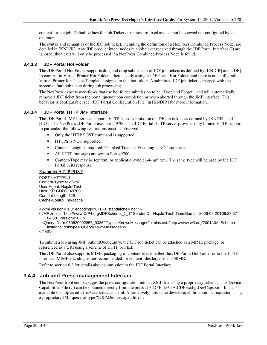content for the job. Default values for Job Ticket attributes are fixed and cannot be viewed nor configured by an operator.

The syntax and semantics of the JDF job ticket, including the definition of a NexPress Combined Process Node, are detailed in [KNDIR]. Any JDF product intent nodes in a job ticket received through the JDF Portal Interface (J) are ignored; the ticket will only be processed if a NexPress Combined Process Node is found.

#### **3.4.3.3 JDF Portal Hot Folder**

The JDF Portal Hot Folder supports drag and drop submission of JDF job tickets as defined by [KNDIR] and [JDF]. In contrast to Virtual Printer Hot Folders, there is only a single JDF Portal Hot Folder, and there is no configurable Virtual Printer Job Ticket Template assigned to that hot folder. A submitted JDF job ticket is merged with the system default job ticket during job processing.

The NexPress expects workflows that use hot folder submission to be "Drop and Forget", and will automatically remove a JDF ticket from the portal queue upon completion or when aborted through the JMF interface. This behavior is configurable; see "JDF Portal Configuration File" in [KNDIR] for more information.

#### **3.4.3.4 JDF Portal HTTP JMF Interface**

The JDF Portal JMF Interface supports HTTP based submission of JDF job tickets as defined by [KNDIR] and [JDF]. The NexPress JDF Portal uses port 49700. The JDF Portal HTTP server provides only limited HTTP support. In particular, the following restrictions must be observed:

- Only the HTTP POST command is supported.
- **IFFLUE** is NOT supported.
- Content-Length is required; Chunked Transfer-Encoding is NOT supported.
- All HTTP messages are sent to Port 49700.
- Content-Type may be text/xml or application/vnd.cip4-jmf+xml. The same type will be used by the JDF Portal in its response.

#### **Example: HTTP POST**

POST \* HTTP/1.1 Content-Type: text/xml User-Agent: NxpJdfTest Host: KP-GDF00:49700 Content-Length: 329 Cache-Control: no-cache

```
<?xml version="1.0" encoding="UTF-8" standalone="no" ?>
```

```
<JMF xmlns="http://www.CIP4.org/JDFSchema_1_1" SenderID="NxpJdfTest" TimeStamp="2006-06-20T09:28:57-
    04:00" Version="1.1">
```
 <Query ID="m060620092857\_0036" Type="KnownMessages" xmlns:xsi="http://www.w3.org/2001/XMLSchemainstance" xsi:type="QueryKnownMessages"/>

</JMF>

To submit a job using JMF SubmitQueueEntry, the JDF job ticket can be attached as a MIME package, or referenced as a URI using a scheme of HTTP or FILE.

The JDF Portal also supports MIME packaging of content files to either the JDF Portal Hot Folder or to the HTTP interface. MIME encoding is not recommended for content files larger than 150MB.

Refer to section 6.2 for details about submission to the JDF Portal Interface.

#### **3.4.4 Job and Press management Interface**

The NexPress front end packages the press configuration into an XML file using a proprietary schema. This Device Capabilities File (C) can be obtained directly from the press at \CDFE\_DATA\CDFExchg\DevCaps.xml. It is also available via http as cdfeUisAccess/devcaps.xml. Alternatively, this same device capabilities can be requested using a proprietary JMF query of type "NXP:DeviceCapabilities".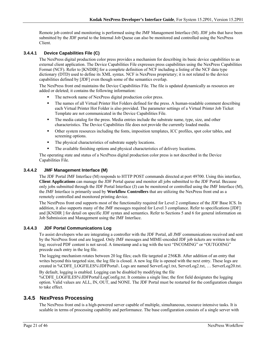Remote job control and monitoring is performed using the JMF Management Interface (M). JDF jobs that have been submitted by the JDF portal to the Internal Job Queue can also be monitored and controlled using the NexPress Client.

#### **3.4.4.1 Device Capabilities File (C)**

The NexPress digital production color press provides a mechanism for describing its basic device capabilities to an external client application. The Device Capabilities File expresses press capabilities using the NexPress Capabilities Format (NCF). Refer to [KNDIR] for a complete definition of NCF including a listing of the NCF data type dictionary (DTD) used to define its XML syntax. NCF is NexPress proprietary; it is not related to the device capabilities defined by [JDF] even though some of the semantics overlap.

The NexPress front end maintains the Device Capabilities File. The file is updated dynamically as resources are added or deleted; it contains the following information:

- The network name of NexPress digital production color press.
- The names of all Virtual Printer Hot Folders defined for the press. A human-readable comment describing each Virtual Printer Hot Folder is also provided. The parameter settings of a Virtual Printer Job Ticket Template are not communicated in the Device Capabilities File.
- The media catalog for the press. Media entries include the substrate name, type, size, and other characteristics. The Device Capabilities file does not provide the currently loaded media.
- Other system resources including the fonts, imposition templates, ICC profiles, spot color tables, and screening options.
- The physical characteristics of substrate supply locations.
- The available finishing options and physical characteristics of delivery locations.

The operating state and status of a NexPress digital production color press is not described in the Device Capabilities File.

#### **3.4.4.2 JMF Management Interface (M)**

The JDF Portal JMF Interface (M) responds to HTTP POST commands directed at port 49700. Using this interface, **Client Applications** can manage the JDF Portal queue and monitor all jobs submitted to the JDF Portal. Because only jobs submitted through the JDF Portal Interface (J) can be monitored or controlled using the JMF Interface (M), the JMF Interface is primarily used by **Workflow Controllers** that are utilizing the NexPress front end as a remotely controlled and monitored printing device.

The NextPress front end supports most of the functionality required for Level 2 compliance of the JDF Base ICS. In addition, it also supports many of the JMF messages required for Level 3 compliance. Refer to specifications [JDF] and [KNDIR ] for detail on specific JDF syntax and semantics. Refer to Sections 5 and 6 for general information on Job Submission and Management using the JMF Interface.

#### **3.4.4.3 JDF Portal Communications Log**

To assist developers who are integrating a controller with the JDF Portal, all JMF communications received and sent by the NexPress front end are logged. Only JMF messages and MIME-encoded JDF job tickets are written to the log; received PDF content is not saved. A timestamp and a tag with the text "INCOMING" or "OUTGOING" precede each entry in the log file.

The logging mechanism rotates between 20 log files; each file targeted at 256KB. After addition of an entry that writes beyond this targeted size, the log file is closed. A new log file is opened with the next entry. These logs are created in %CDFE\_LOGFILES%\JDFPortal\. Logs are named ServerLog1.txt, ServerLog2.txt, … ServerLog20.txt.

By default, logging is enabled. Logging can be disabled by modifying the file %CDFE\_LOGFILES%\JDFPortal\LogConfig.txt. It contains a single line; the first field designates the logging option. Valid values are ALL, IN, OUT, and NONE. The JDF Portal must be restarted for the configuration changes to take effect.

#### **3.4.5 NexPress Processing**

The NexPress front end is a high-powered server capable of multiple, simultaneous, resource intensive tasks. It is scalable in terms of processing capability and performance. The base configuration consists of a single server with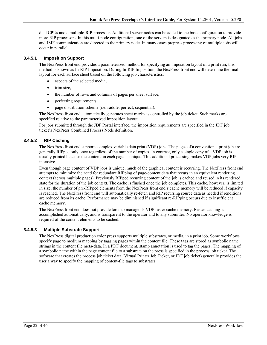dual CPUs and a multiple-RIP processor. Additional server nodes can be added to the base configuration to provide more RIP processors. In this multi-node configuration, one of the servers is designated as the primary node. All jobs and JMF communication are directed to the primary node. In many cases prepress processing of multiple jobs will occur in parallel.

#### **3.4.5.1 Imposition Support**

The NexPress front end provides a parameterized method for specifying an imposition layout of a print run; this method is known as In-RIP Imposition. During In-RIP Imposition, the NexPress front end will determine the final layout for each surface sheet based on the following job characteristics:

- aspects of the selected media,
- trim size,
- the number of rows and columns of pages per sheet surface,
- perfecting requirements,
- page distribution scheme (i.e. saddle, perfect, sequential).

The NexPress front end automatically generates sheet marks as controlled by the job ticket. Such marks are specified relative to the parameterized imposition layout.

For jobs submitted through the JDF Portal interface, the imposition requirements are specified in the JDF job ticket's NexPress Combined Process Node definition.

#### **3.4.5.2 RIP Caching**

The NexPress front end supports complex variable data print (VDP) jobs. The pages of a conventional print job are generally RIPped only once regardless of the number of copies. In contrast, only a single copy of a VDP job is usually printed because the content on each page is unique. This additional processing makes VDP jobs very RIPintensive.

Even though page content of VDP jobs is unique, much of the graphical content is recurring. The NexPress front end attempts to minimize the need for redundant RIPping of page-content data that recurs in an equivalent rendering context (across multiple pages). Previously RIPped recurring content of the job is cached and reused in its rendered state for the duration of the job context. The cache is flushed once the job completes. This cache, however, is limited in size; the number of pre-RIPped elements from the NexPress front end's cache memory will be reduced if capacity is reached. The NexPress front end will automatically re-fetch and RIP recurring source data as needed if renditions are reduced from its cache. Performance may be diminished if significant re-RIPping occurs due to insufficient cache memory.

The NexPress front end does not provide tools to manage its VDP raster cache memory. Raster-caching is accomplished automatically, and is transparent to the operator and to any submitter. No operator knowledge is required of the content elements to be cached.

#### **3.4.5.3 Multiple Substrate Support**

The NexPress digital production color press supports multiple substrates, or media, in a print job. Some workflows specify page to medium mapping by tagging pages within the content file. These tags are stored as symbolic name strings in the content file meta-data. In a PDF document, stamp annotation is used to tag the pages. The mapping of a symbolic name within the page content file to a substrate on the press is specified in the process job ticket. The software that creates the process job ticket data (Virtual Printer Job Ticket, or JDF job ticket) generally provides the user a way to specify the mapping of content-file tags to substrates.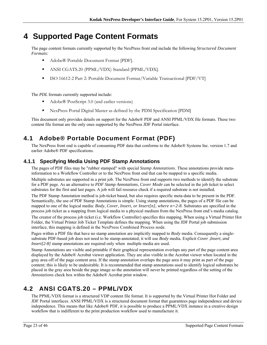# **4 Supported Page Content Formats**

The page content formats currently supported by the NexPress front end include the following *Structured Document Formats:*

- Adobe® Portable Document Format [PDF].
- ANSI CGATS.20 (PPML/VDX) Standard [PPML/VDX].
- ISO 16612-2 Part 2: Portable Document Format/Variable Transactional [PDF/VT]

The *PDL* formats currently supported include:

- Adobe® PostScript 3.0 (and earlier versions)
- NexPress Portal Digital Master as defined by the PDM Specification [PDM]

This document only provides details on support for the Adobe® PDF and ANSI PPML/VDX file formats. These two content file format are the only ones supported by the NexPress JDF Portal interface.

## **4.1 Adobe® Portable Document Format (PDF)**

The NexPress front end is capable of consuming PDF data that conforms to the Adobe® Systems Inc. version 1.7 and earlier Adobe® PDF specifications.

## **4.1.1 Specifying Media Using PDF Stamp Annotations**

The pages of PDF files may be "rubber stamped" with special *Stamp Annotations*. These annotations provide metainformation to a Workflow Controller or to the NexPress front end that can be mapped to a specific media.

Multiple substrates are supported in a print job. The NexPress front end supports two methods to identify the substrate for a PDF page. As an alternative to *PDF Stamp Annotations*, *Cover Mode* can be selected in the job ticket to select substrates for the first and last pages*.* A job will fail resource check if a required substrate is not installed.

The PDF Stamp Annotation method is job-ticket based, but also requires specific meta-data to be present in the PDF. Semantically, the use of PDF Stamp Annotations is simple. Using stamp annotations, the pages of a PDF file can be mapped to one of the logical media: *Body*, *Cover*, *Insert, or Insert[n], where n=2-8*. Substrates are specified in the process job ticket as a mapping from logical media to a physical medium from the NexPress front end's media catalog.

The creator of the process job ticket (i.e. Workflow Controller) specifies this mapping. When using a Virtual Printer Hot Folder, the Virtual Printer Job Ticket Template defines the mapping. When using the JDF Portal job submission interface, this mapping is defined in the NexPress Combined Process node.

Pages within a PDF file that have no stamp annotation are implicitly mapped to *Body* media. Consequently a singlesubstrate PDF-based job does not need to be stamp-annotated; it will use *Body* media. Explicit *Cover* ,*Insert, and Insert*[2-8] stamp annotations are required only when multiple media are used.

Stamp Annotations are visible and printable if their graphical representation overlaps any part of the page content area displayed by the Adobe® Acrobat viewer application. They are also visible in the Acrobat viewer when located in the gray area off of the page content area. If the stamp annotation overlaps the page area it may print as part of the page content; this is likely to be undesirable. It is recommended that stamp annotations used to identify logical substrates be placed in the gray area beside the page image so the annotation will never be printed regardless of the setting of the *Annotations* check box within the Adobe® Acrobat print window.

## **4.2 ANSI CGATS.20 – PPML/VDX**

The PPML/VDX format is a structured VDP content file format. It is supported by the Virtual Printer Hot Folder and JDF Portal interfaces. ANSI PPML/VDX is a structured document format that guarantees page independence and device independence. This means that like Adobe® PDF, it is possible to produce a PPML/VDX instance in a creative design workflow that is indifferent to the print production workflow used to manufacture it.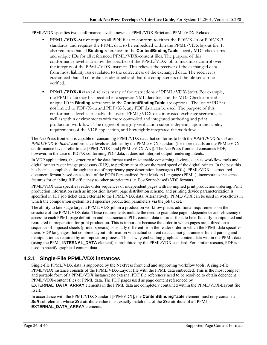#### PPML/VDX specifies two conformance levels known as PPML/VDX-Strict and PPML/VDX-Relaxed.

- **PPML/VDX-Strict** requires all PDF files to conform to either the PDF/X-1a or PDF/X-3 standards, and requires the PPML data to be embedded within the PPML/VDX layout file. It also requires that all **Binding** references in the **ContentBindingTable** specify MD5 checksums and unique IDs for all referenced PPML/VDX-content files. The purpose of this conformance level is to allow the specifier of the PPML/VDX job to maximize control over the integrity of the PPML/VDX instance. This relieves the receiver of the exchanged data from most liability issues related to the correctness of the exchanged data. The receiver is guaranteed that all color data is identified and that the completeness of the file set can be verified.
- **PPML/VDX-Relaxed** relaxes many of the restrictions of PPML/VDX-Strict. For example, the PPML data may be specified in a separate XML data file, and the MD5 Checksum and unique ID in **Binding** references in the **ContentBindingTable** are optional. The use of PDF is not limited to PDF/X-1a and PDF/X-3; any PDF data can be used. The purpose of this conformance level is to enable the use of PPML/VDX data in trusted exchange scenarios, as well as within environments with more controlled and integrated authoring and print production workflows. The degree of integrity verification support depends upon the liability requirements of the VDP application, and how tightly integrated the workflow.

The NexPress front end is capable of consuming PPML/VDX data that conforms to both the *PPML/VDX-Strict* and *PPML/VDX-Relaxed* conformance levels as defined by the PPML/VDX standard (for more details on the PPML/VDX conformance levels refer to the [PPML/VDX] and [PPML/VDX-AN]). The NexPress front end consumes PDF; however, in the case of PDF/X conforming PDF data, it does not interpret output rendering intents.

In VDP applications, the structure of the data format used must enable consuming devices, such as workflow tools and digital printer raster image processors (RIP*)*, to perform at or above the rated speed of the digital printer. In the past this has been accomplished through the use of proprietary page description languages (PDL). PPML/VDX, a structured document format based on a subset of the PODi Personalized Print Markup Language (PPML), incorporates the same features for enabling RIP efficiency as other proprietary (i.e. PostScript-based) VDP formats.

PPML/VDX data specifies reader order sequences of independent pages with no implied print production ordering. Print production information such as imposition layout, page distribution scheme, and printing device parameterization is specified in JDF job ticket data external to the PPML/VDX data. Alternatively, PPML/VDX can be used in workflows in which the composition system itself specifies production parameters via the job ticket.

The ability to late-stage target a PPML/VDX job in a production workflow places additional requirements on the structure of the PPML/VDX data. These requirements include the need to guarantee page independence and efficiency of access to each PPML page definition and its associated PDL content data in order for it to be efficiently manipulated and reordered in preparation for print production. This is important because the order in which pages are utilized on a sequence of imposed sheets (printer spreads) is usually different from the reader order in which the PPML data specifies them. VDP languages that combine layout information with actual content data cannot guarantee efficient parsing and manipulation as required by an imposition process. This is why embedding graphical content data within the PPML data (using the PPML **INTERNAL\_DATA** element) is prohibited by the PPML/VDX standard. For similar reasons, PDF is used to specify graphical content data.

### **4.2.1 Single-File PPML/VDX instances**

Single-file PPML/VDX data is supported by the NexPress front end and supporting workflow tools. A single-file PPML/VDX instance consists of the PPML/VDX-Layout file with the PPML data embedded. This is the most compact and portable form of a PPML/VDX instance; no external PDF file references need to be resolved to obtain dependent PPML/VDX-content files or PPML data. The PDF pages used as page content referenced by

**EXTERNAL\_DATA\_ARRAY** elements in the PPML data are completely contained within the PPML/VDX-Layout file itself.

In accordance with the PPML/VDX Standard [PPM/VDX], the **ContentBindingTable** element must only contain a *Self* sub-element whose *Src* attribute value must exactly match that of the *Src* attribute of all PPML **EXTERNAL\_DATA\_ARRAY** elements.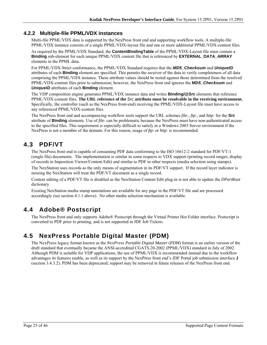### **4.2.2 Multiple-file PPML/VDX instances**

Multi-file PPML/VDX data is supported by the NexPress front end and supporting workflow tools. A multiple-file PPML/VDX instance consists of a single PPML/VDX-layout file and one or more additional PPML/VDX-content files.

As required by the PPML/VDX Standard, the **ContentBindingTable** of the PPML/VDX-Layout file must contain a **Binding** sub-element for each unique PPML/VDX content file that is referenced by **EXTERNAL\_DATA\_ARRAY** elements in the PPML data.

For PPML/VDX-Strict conformance, the PPML/VDX Standard requires that the *MD5\_Checksum* and *UniqueID* attributes of each **Binding** element are specified. This permits the receiver of the data to verify completeness of all data comprising the PPML/VDX instance. These attribute values should be tested against those determined from the resolved PPML/VDX-content files prior to submission; however, the NexPress front end ignores the *MD5\_Checksum* and *UniqueID* attributes of each **Binding** element.

The VDP composition engine generates PPML/VDX instance data and writes **Binding/@***Src* elements that reference PPML/VDX-content files. **The URL reference of the** *Src* **attribute must be resolvable in the receiving environment.** Specifically, the controller (such as the NexPress front-end) receiving the PPML/VDX-Layout file must have access to any referenced PPML/VDX-content files.

The NexPress front end and accompanying workflow tools support the URL schemes *file:, ftp:,* and *http:* for the *Src* attribute of **Binding** elements. Use of *file*: can be problematic because the NexPress must have non-authenticated access to the specified files. This requirement is especially difficult to satisfy in a Windows 2003 Server environment if the NexPress is not a member of the domain. For this reason, usage of *ftp*: or *http*: is recommended.

## **4.3 PDF/VT**

The NexPress front end is capable of consuming PDF data conforming to the ISO 16612-2 standard for PDF/VT-1 (single file) documents. The implementation is similar in some respects to VDX support (printing record ranges, display of records in Imposition Viewer/Content Edit) and similar to PDF in other respects (media selection using stamps).

The NexStation uses records as the only means of segmentation in its PDF/VT support. If the record layer indicator is missing the NexStation will treat the PDF/VT document as a single record.

Content editing of a PDF/VT file is disabled as the NexStation Content Edit plug-in is not able to update the *DPartRoot*  dictionary.

Existing NexStation media stamp annotations are available for any page in the PDF/VT file and are processed accordingly (see section 4.1.1 above). No other media selection mechanism is available.

## **4.4 Adobe® Postscript**

The NexPress front end only supports Adobe® Postscript through the Virtual Printer Hot Folder interface. Postscript is converted to PDF prior to printing, and is not supported in JDF Job Tickets.

## **4.5 NexPress Portable Digital Master (PDM)**

The NexPress legacy format known as the *NexPress Portable Digital Master* (*PDM*) format is an earlier version of the draft standard that eventually became the ANSI-accredited CGATS.20-2002 (PPML/VDX) standard in July of 2002. Although PDM is suitable for VDP applications, the use of PPML/VDX is recommended instead due to the workflow advantages its features enable, as well as its support by the NexPress front end's JDF Portal job submission interface **J** (section 3.4.3.2). PDM has been deprecated; support may be removed in future releases of the NexPress front end.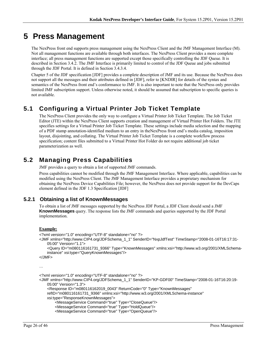# **5 Press Management**

The NexPress front end supports press management using the NexPress Client and the JMF Management Interface (M). Not all management functions are available through both interfaces. The NexPress Client provides a more complete interface; all press management functions are supported except those specifically controlling the JDF Queue. It is described in Section 3.4.2. The JMF Interface is primarily limited to control of the JDF Queue and jobs submitted through the JDF Portal. It is defined in Section 3.4.3.4.

Chapter 5 of the JDF specification [JDF] provides a complete description of JMF and its use. Because the NexPress does not support all the messages and their attributes defined in [JDF], refer to [KNDIR] for details of the syntax and semantics of the NexPress front end's conformance to JMF. It is also important to note that the NexPress only provides limited JMF subscription support. Unless otherwise noted, it should be assumed that subscription to specific queries is not available.

## **5.1 Configuring a Virtual Printer Job Ticket Template**

The NexPress Client provides the only way to configure a Virtual Printer Job Ticket Template. The Job Ticket Editor (JTE) within the NexPress Client supports creation and management of Virtual Printer Hot Folders. The JTE specifies settings for a Virtual Printer Job Ticket Template. These settings include media selection and the mapping of a PDF stamp annotation-identified medium to an entry in theNexPress front end's media catalog, imposition layout, disjointing, and collating. The Virtual Printer Job Ticket Template is a complete workflow process specification; content files submitted to a Virtual Printer Hot Folder do not require additional job ticket parameterization as well.

## **5.2 Managing Press Capabilities**

JMF provides a query to obtain a list of supported JMF commands.

Press capabilities cannot be modified through the JMF Management Interface. Where applicable, capabilities can be modified using the NexPress Client. The JMF Management Interface provides a proprietary mechanism for obtaining the NexPress Device Capabilities File; however, the NexPress does not provide support for the DevCaps element defined in the JDF 1.3 Specification [JDF]

### **5.2.1 Obtaining a list of KnownMessages**

To obtain a list of JMF messages supported by the NexPress JDF Portal, a JDF Client should send a JMF **KnownMessages** query. The response lists the JMF commands and queries supported by the JDF Portal implementation.

#### **Example:**

```
<?xml version="1.0" encoding="UTF-8" standalone="no" ?> 
<JMF xmlns="http://www.CIP4.org/JDFSchema_1_1" SenderID="NxpJdfTest" TimeStamp="2008-01-16T16:17:31-
    05:00" Version="1.1"> 
     <Query ID="m080116161731_9366" Type="KnownMessages" xmlns:xsi="http://www.w3.org/2001/XMLSchema-
    instance" xsi:type="QueryKnownMessages"/> 
</JMF> 
… 
<?xml version="1.0" encoding="UTF-8" standalone="no" ?> 
<JMF xmlns="http://www.CIP4.org/JDFSchema_1_1" SenderID="KP-GDF00" TimeStamp="2008-01-16T16:20:19-
    05:00" Version="1.3"> 
     <Response ID="m080116162019_0043" ReturnCode="0" Type="KnownMessages" 
    refID="m080116161731_9366" xmlns:xsi="http://www.w3.org/2001/XMLSchema-instance"
```
xsi:type="ResponseKnownMessages">

<MessageService Command="true" Type="CloseQueue"/>

```
 <MessageService Command="true" Type="HoldQueue"/>
```

```
 <MessageService Command="true" Type="OpenQueue"/>
```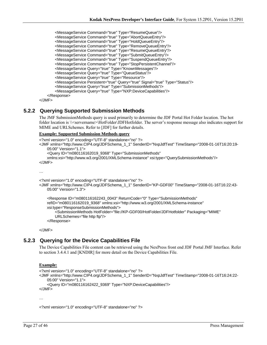<MessageService Command="true" Type="ResumeQueue"/> <MessageService Command="true" Type="AbortQueueEntry"/> <MessageService Command="true" Type="HoldQueueEntry"/> <MessageService Command="true" Type="RemoveQueueEntry"/> <MessageService Command="true" Type="ResumeQueueEntry"/> <MessageService Command="true" Type="SubmitQueueEntry"/> <MessageService Command="true" Type="SuspendQueueEntry"/> <MessageService Command="true" Type="StopPersistentChannel"/> <MessageService Query="true" Type="KnownMessages"/> <MessageService Query="true" Type="QueueStatus"/> <MessageService Query="true" Type="Resource"/> <MessageService Persistent="true" Query="true" Signal="true" Type="Status"/> <MessageService Query="true" Type="SubmissionMethods"/> <MessageService Query="true" Type="NXP:DeviceCapabilities"/> </Response>

</JMF>

### **5.2.2 Querying Supported Submission Methods**

The JMF SubmissionMethods query is used primarily to determine the JDF Portal Hot Folder location. The hot folder location is  $\&$ servername>\HotFolder\JDFHotfolder. The server's response message also indicates support for MIME and URLSchemes. Refer to [JDF] for further details.

#### **Example: Supported Submission Methods query**

```
<?xml version="1.0" encoding="UTF-8" standalone="no" ?> 
<JMF xmlns="http://www.CIP4.org/JDFSchema_1_1" SenderID="NxpJdfTest" TimeStamp="2008-01-16T16:20:19-
    05:00" Version="1.1"> 
     <Query ID="m080116162019_9368" Type="SubmissionMethods" 
   xmlns:xsi="http://www.w3.org/2001/XMLSchema-instance" xsi:type="QuerySubmissionMethods"/> 
</JMF> 
…
```

```
<?xml version="1.0" encoding="UTF-8" standalone="no" ?>
```

```
<JMF xmlns="http://www.CIP4.org/JDFSchema_1_1" SenderID="KP-GDF00" TimeStamp="2008-01-16T16:22:43-
   05:00" Version="1.3">
```

```
 <Response ID="m080116162243_0043" ReturnCode="0" Type="SubmissionMethods" 
refID="m080116162019_9368" xmlns:xsi="http://www.w3.org/2001/XMLSchema-instance" 
xsi:type="ResponseSubmissionMethods"> 
    <SubmissionMethods HotFolder="file://KP-GDF00/HotFolder/JDFHotfolder" Packaging="MIME" 
    URLSchemes="file http ftp"/> 
 </Response>
```
</JMF>

### **5.2.3 Querying for the Device Capabilities File**

The Device Capabilities File content can be retrieved using the NexPress front end JDF Portal JMF Interface. Refer to section 3.4.4.1 and [KNDIR] for more detail on the Device Capabilities File.

#### **Example:**

```
<?xml version="1.0" encoding="UTF-8" standalone="no" ?> 
<JMF xmlns="http://www.CIP4.org/JDFSchema_1_1" SenderID="NxpJdfTest" TimeStamp="2008-01-16T16:24:22-
   05:00" Version="1.1"> 
     <Query ID="m080116162422_9369" Type="NXP:DeviceCapabilities"/> 
</JMF> 
…
```

```
<?xml version="1.0" encoding="UTF-8" standalone="no" ?>
```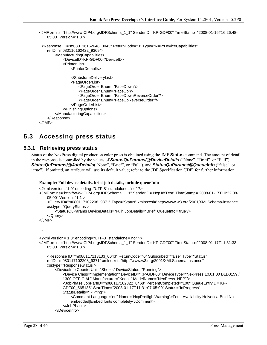```
<JMF xmlns="http://www.CIP4.org/JDFSchema_1_1" SenderID="KP-GDF00" TimeStamp="2008-01-16T16:26:48-
   05:00" Version="1.3">
```

```
 <Response ID="m080116162648_0043" ReturnCode="0" Type="NXP:DeviceCapabilities" 
    refID="m080116162422_9369"> 
         <ManufacturingCapabilities> 
             <DeviceID>KP-GDF00</DeviceID> 
            <PrinterList> 
                <PrinterDefaults> 
                 … 
                </SubstrateDeliveryList> 
                <PageOrderList> 
                    <PageOrder Enum="FaceDown"/> 
                    <PageOrder Enum="FaceUp"/> 
                    <PageOrder Enum="FaceDownReverseOrder"/> 
                    <PageOrder Enum="FaceUpReverseOrder"/> 
                </PageOrderList> 
            </FinishingOptions> 
        </ManufacturingCapabilities> 
    </Response> 
</JMF>
```
## **5.3 Accessing press status**

#### **5.3.1 Retrieving press status**

Status of the NexPress digital production color press is obtained using the JMF **Status** command. The amount of detail in the response is controlled by the values of *StatusQuParams/@DeviceDetails* ("None", "Brief", or "Full"), *StatusQuParams/@JobDetails*("None", "Brief", or "Full"), and *StatusQuParams/@QueueInfo* ("false", or "true"). If omitted, an attribute will use its default value; refer to the JDF Specification [JDF] for further information.

#### **Example: Full device details, brief job details, include queueInfo**

```
<?xml version="1.0" encoding="UTF-8" standalone="no" ?> 
<JMF xmlns="http://www.CIP4.org/JDFSchema_1_1" SenderID="NxpJdfTest" TimeStamp="2008-01-17T10:22:08-
    05:00" Version="1.1"> 
     <Query ID="m080117102208_9371" Type="Status" xmlns:xsi="http://www.w3.org/2001/XMLSchema-instance" 
    xsi:type="QueryStatus"> 
         <StatusQuParams DeviceDetails="Full" JobDetails="Brief" QueueInfo="true"/> 
     </Query> 
</JMF> 
… 
<?xml version="1.0" encoding="UTF-8" standalone="no" ?> 
<JMF xmlns="http://www.CIP4.org/JDFSchema_1_1" SenderID="KP-GDF00" TimeStamp="2008-01-17T11:31:33-
    05:00" Version="1.3"> 
     <Response ID="m080117113133_0043" ReturnCode="0" Subscribed="false" Type="Status" 
    refID="m080117102208_9371" xmlns:xsi="http://www.w3.org/2001/XMLSchema-instance" 
    xsi:type="ResponseStatus"> 
         <DeviceInfo CounterUnit="Sheets" DeviceStatus="Running"> 
            <Device Class="Implementation" DeviceID="KP-GDF00" DeviceType="NexPress 10.01.00 BLD0159 / 
            1300 OFFICIAL" Manufacturer="Kodak" ModelName="NexPress_NPP"/> 
            <JobPhase JobPartID="n080117102322_8468" PercentCompleted="100" QueueEntryID="KP-
            GDF00_565135" StartTime="2008-01-17T11:31:07-05:00" Status="InProgress" 
            StatusDetails="RIP'ing"> 
                <Comment Language="en" Name="NxpPreflightWarning">Font: Availability|Helvetica-Bold|Not 
                embedded|Embed fonts completely</Comment> 
             </JobPhase> 
         </DeviceInfo>
```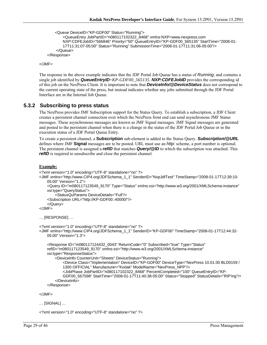```
 <Queue DeviceID="KP-GDF00" Status="Running">
```

```
<QueueEntry JobPartID="n080117102322_8468" xmlns:NXP=www.nexpress.com 
        NXP:CDFEJobID="566846" Priority="50" QueueEntryID="KP-GDF00_565135" StartTime="2008-01-
        17T11:31:07-05:00" Status="Running" SubmissionTime="2008-01-17T11:31:06-05:00"/> 
     </Queue> 
 </Response>
```
 $<$ /JMF $>$ 

The response in the above example indicates that the JDF Portal Job Queue has a status of *Running*, and contains a single job identified by *QueueEntryID*=*KP-GDF00\_565135*. *NXP:CDFEJobID* provides the corresponding id of this job on the NexPress Client. It is important to note that *DeviceInfo/@DeviceStatus* does not correspond to the current operating state of the press, but instead indicates whether any jobs submitted through the JDF Portal Interface are in the Internal Job Queue.

#### **5.3.2 Subscribing to press status**

The NexPress provides JMF Subscription support for the Status Query. To establish a subscription, a JDF Client creates a persistent channel connection over which the NexPress front end can send asynchronous JMF Status messages. These asynchronous messages are known as JMF Signal messages. JMF Signal messages are generated and posted to the persistent channel when there is a change in the status of the JDF Portal Job Queue or in the execution status of a JDF Portal Queue Entry.

To create a persistent channel, a **Subscription** sub-element is added to the Status Query. *Subscription/@URL* defines where JMF **Signal** messages are to be posted. URL must use an *http:* scheme, a port number is optional. The persistent channel is assigned a *refID* that matches *Query/@ID* to which the subscription was attached. This *refID* is required to unsubscribe and close the persistent channel.

#### **Example:**

```
<?xml version="1.0" encoding="UTF-8" standalone="no" ?> 
<JMF xmlns="http://www.CIP4.org/JDFSchema_1_1" SenderID="NxpJdfTest" TimeStamp="2008-01-17T12:39:10-
    05:00" Version="1.2"> 
     <Query ID="m080117123549_9170" Type="Status" xmlns:xsi="http://www.w3.org/2001/XMLSchema-instance" 
    xsi:type="QueryStatus"> 
         <StatusQuParams DeviceDetails="Full"/> 
     <Subscription URL="http://KP-GDF00::40000/"/> 
     </Query> 
</JMF> 
… [RESPONSE] … 
<?xml version="1.0" encoding="UTF-8" standalone="no" ?> 
<JMF xmlns="http://www.CIP4.org/JDFSchema_1_1" SenderID="KP-GDF00" TimeStamp="2008-01-17T12:44:32-
    05:00" Version="1.3"> 
     <Response ID="m080117124432_0043" ReturnCode="0" Subscribed="true" Type="Status" 
    refID="m080117123549_9170" xmlns:xsi="http://www.w3.org/2001/XMLSchema-instance" 
    xsi:type="ResponseStatus"> 
         <DeviceInfo CounterUnit="Sheets" DeviceStatus="Running">
```
<Device Class="Implementation" DeviceID="KP-GDF00" DeviceType="NexPress 10.01.00 BLD0159 / 1300 OFFICIAL" Manufacturer="Kodak" ModelName="NexPress\_NPP"/>

<JobPhase JobPartID="n080117102322\_8468" PercentCompleted="100" QueueEntryID="KP-

GDF00\_567598" StartTime="2008-01-17T11:40:38-05:00" Status="Stopped" StatusDetails="RIP'ing"/> </DeviceInfo>

```
 </Response>
```
</JMF>

… [SIGNAL] …

<?xml version="1.0" encoding="UTF-8" standalone="no" ?>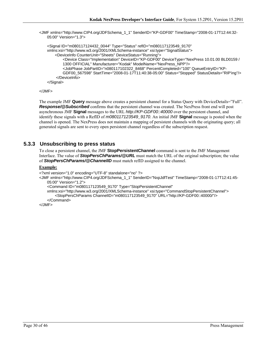<JMF xmlns="http://www.CIP4.org/JDFSchema\_1\_1" SenderID="KP-GDF00" TimeStamp="2008-01-17T12:44:32- 05:00" Version="1.3">

 <Signal ID="m080117124432\_0044" Type="Status" refID="m080117123549\_9170" xmlns:xsi="http://www.w3.org/2001/XMLSchema-instance" xsi:type="SignalStatus"> <DeviceInfo CounterUnit="Sheets" DeviceStatus="Running"> <Device Class="Implementation" DeviceID="KP-GDF00" DeviceType="NexPress 10.01.00 BLD0159 / 1300 OFFICIAL" Manufacturer="Kodak" ModelName="NexPress\_NPP"/> <JobPhase JobPartID="n080117102322\_8468" PercentCompleted="100" QueueEntryID="KP-GDF00\_567598" StartTime="2008-01-17T11:40:38-05:00" Status="Stopped" StatusDetails="RIP'ing"/> </DeviceInfo> </Signal>

```
</JMF>
```
The example JMF **Query** message above creates a persistent channel for a Status Query with DeviceDetails="Full". *Response/@Subscribed* confirms that the persistent channel was created. The NexPress front end will post asynchronous JMF **Signal** messages to the URL *http://KP-GDF00::40000* over the persistent channel, and identify these signals with a RefID of *m080117123549\_9170*. An initial JMF **Signal** message is posted when the channel is opened. The NexPress does not maintain a mapping of persistent channels with the originating query; all generated signals are sent to every open persistent channel regardless of the subscription request.

### **5.3.3 Unsubscribing to press status**

To close a persistent channel, the JMF **StopPersistentChannel** command is sent to the JMF Management Interface. The value of *StopPersChParams/@URL* must match the URL of the original subscription; the value of *StopPersChParams/@ChannelID* must match refID assigned to the channel.

#### **Example:**

```
<?xml version="1.0" encoding="UTF-8" standalone="no" ?>
```
<JMF xmlns="http://www.CIP4.org/JDFSchema\_1\_1" SenderID="NxpJdfTest" TimeStamp="2008-01-17T12:41:45- 05:00" Version="1.2">

```
 <Command ID="m080117123549_9170" Type="StopPersistentChannel"
```

```
xmlns:xsi="http://www.w3.org/2001/XMLSchema-instance" xsi:type="CommandStopPersistentChannel"> 
     <StopPersChParams ChannelID="m080117123549_9170" URL="http://KP-GDF00::40000/"/> 
 </Command>
```
 $<$ /JMF $>$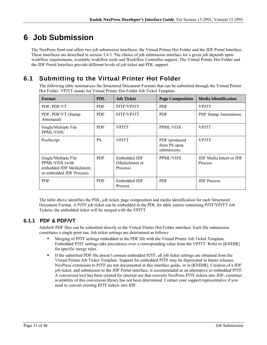# **6 Job Submission**

The NexPress front end offers two job submission interfaces: the Virtual Printer Hot Folder and the JDF Portal Interface. These interfaces are described in section 3.4.3. The choice of job submission interface for a given job depends upon workflow requirements, available workflow tools and Workflow Controller support. The Virtual Printer Hot Folder and the JDF Portal Interface provide different levels of job ticket and PDL support.

## **6.1 Submitting to the Virtual Printer Hot Folder**

The following table summarizes the Structured Document Formats that can be submitted through the Virtual Printer Hot Folder. VPJTT stands for Virtual Printer Hot Folder Job Ticket Template.

| Format                                                                                          | <b>PDL</b> | <b>Job Ticket</b>                           | <b>Page Composition</b>                      | <b>Media Identification</b>               |
|-------------------------------------------------------------------------------------------------|------------|---------------------------------------------|----------------------------------------------|-------------------------------------------|
| PDF, PDF/VT                                                                                     | <b>PDF</b> | PJTF/VPJTT                                  | <b>PDF</b>                                   | <b>VPJTT</b>                              |
| PDF, PDF/VT (Stamp<br>Annotated)                                                                | <b>PDF</b> | PJTF/VPJTT                                  | <b>PDF</b>                                   | <b>PDF Stamp Annotations</b>              |
| Single/Multiple File<br>PPML/VDX                                                                | <b>PDF</b> | <b>VPJTT</b>                                | PPML/VDX                                     | <b>VPJTT</b>                              |
| PostScript                                                                                      | <b>PS</b>  | <b>VPJTT</b>                                | PDF (produced<br>from PS upon<br>submission) | <b>VPJTT</b>                              |
| Single/Multiple File<br>PPML/VDX (with<br>embedded JDF MediaIntent,<br>or embedded JDF Process) | <b>PDF</b> | Embedded JDF<br>(MediaIntent or<br>Process) | PPML/VDX                                     | JDF Media Intent or JDF<br><b>Process</b> |
| <b>PDF</b>                                                                                      | <b>PDF</b> | Embedded JDF<br>Process                     | <b>PDF</b>                                   | <b>JDF</b> Process                        |

The table above identifies the PDL, job ticket, page composition and media identification for each Structured Document Format. A PJTF job ticket can be embedded in the PDL for table entries containing PJTF/VPJTT Job Tickets; the embedded ticket will be merged with the VPJTT.

### **6.1.1 PDF & PDF/VT**

Adobe® PDF files can be submitted directly to the Virtual Printer Hot Folder interface. Each file submission constitutes a single print run. Job ticket settings are determined as follows:

- Merging of PJTF settings embedded in the PDF file with the Virtual Printer Job Ticket Template. Embedded PJTF settings take precedence over a corresponding value from the VPJTT. Refer to [KNDIR] for specific merge rules.
- If the submitted PDF file doesn't contain embedded PJTF, all job ticket settings are obtained from the Virtual Printer Job Ticket Template. Support for embedded PJTF may be deprecated in future releases. NexPress extensions to PJTF are not documented in this interface guide, or in [KNDIR]. Creation of a JDF job ticket, and submission to the JDF Portal interface, is recommended as an alternative to embedded PJTF. A conversion tool has been created for internal use that converts NexPress PJTF tickets into JDF; customer availablity of this conversion library has not been determined. Contact your support representative if you need to convert existing PJTF tickets into JDF.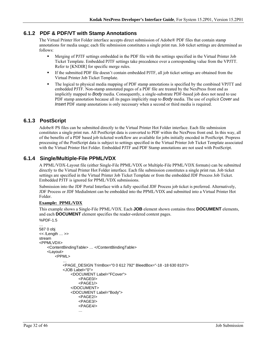### **6.1.2 PDF & PDF/VT with Stamp Annotations**

The Virtual Printer Hot Folder interface accepts direct submission of Adobe® PDF files that contain stamp annotations for media usage; each file submission constitutes a single print run. Job ticket settings are determined as follows:

- Merging of PJTF settings embedded in the PDF file with the settings specified in the Virtual Printer Job Ticket Template. Embedded PJTF settings take precedence over a corresponding value from the VPJTT. Refer to [KNDIR] for specific merge rules.
- If the submitted PDF file doesn't contain embedded PJTF, all job ticket settings are obtained from the Virtual Printer Job Ticket Template.
- The logical to physical media mapping of PDF stamp annotations is specified by the combined VPJTT and embedded PJTF. Non-stamp annotated pages of a PDF file are treated by the NexPress front end as implicitly mapped to *Body* media. Consequently, a single-substrate PDF-based job does not need to use PDF stamp annotation because all its pages implicitly map to *Body* media. The use of explicit *Cover* and *Insert* PDF stamp annotations is only necessary when a second or third media is required.

### **6.1.3 PostScript**

Adobe® PS files can be submitted directly to the Virtual Printer Hot Folder interface. Each file submission constitutes a single print run. All PostScript data is converted to PDF within the NexPress front end. In this way, all of the benefits of a PDF based job ticketed workflow are available for jobs initially encoded in PostScript. Prepress processing of the PostScript data is subject to settings specified in the Virtual Printer Job Ticket Template associated with the Virtual Printer Hot Folder. Embedded PJTF and PDF Stamp annotations are not used with PostScript.

### **6.1.4 Single/Multiple-File PPML/VDX**

A PPML/VDX-Layout file (either Single-File PPML/VDX or Multiple-File PPML/VDX formats) can be submitted directly to the Virtual Printer Hot Folder interface. Each file submission constitutes a single print run. Job ticket settings are specified in the Virtual Printer Job Ticket Template or from the embedded JDF Process Job Ticket. Embedded PJTF is ignored for PPML/VDX submissions.

Submission into the JDF Portal Interface with a fully specified JDF Process job ticket is preferred. Alternatively, JDF Process or JDF MediaIntent can be embedded into the PPML/VDX and submitted into a Virtual Printer Hot Folder.

#### **Example: PPML/VDX**

This example shows a Single-File PPML/VDX. Each **JOB** element shown contains three **DOCUMENT** elements, and each **DOCUMENT** element specifies the reader-ordered content pages. %PDF-1.5

```
… 
587 0 obj 
<< /Length … >> 
stream 
<PPMLVDX> 
    <ContentBindingTable> … </ContentBindingTable> 
    <Layout> 
        <PPML> 
            … 
            <PAGE_DESIGN TrimBox="0 0 612 792" BleedBox="-18 -18 630 810"/> 
            <JOB Label="0"> 
                <DOCUMENT Label="FCover"> 
                    <PAGE0/> 
                    <PAGF1/></DOCUMENT> 
                <DOCUMENT Label="Body"> 
                    <PAGE2/> 
                    <PAGE3/> 
                    <PAGE4/> 
                    …
```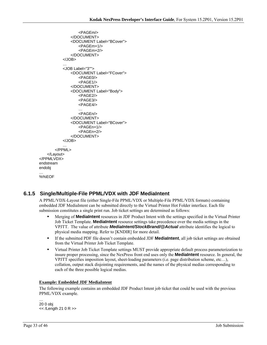```
<PAGEm/> 
               </DOCUMENT> 
               <DOCUMENT Label="BCover"> 
                   <PAGEm+1/> 
                   <PAGEm+2/> 
               </DOCUMENT> 
           </JOB> 
           … 
           <JOB Label="3""> 
               <DOCUMENT Label="FCover"> 
                   <PAGE0/> 
                   <PAGE1/> 
               </DOCUMENT> 
               <DOCUMENT Label="Body"> 
                   <PAGE2/> 
                   <PAGE3/> 
                   <PAGE4/> 
                   … 
                   <PAGEn/> 
               </DOCUMENT> 
               <DOCUMENT Label="BCover"> 
                   <PAGEn+1/> 
                   <PAGEn+2/> 
               </DOCUMENT> 
           </JOB> 
       </PPML> 
    </Layout> 
</PPMLVDX> 
endstream 
endobj 
… 
%%EOF
```
### **6.1.5 Single/Multiple-File PPML/VDX with JDF MediaIntent**

A PPML/VDX-Layout file (either Single-File PPML/VDX or Multiple-File PPML/VDX formats) containing embedded JDF MediaIntent can be submitted directly to the Virtual Printer Hot Folder interface. Each file submission constitutes a single print run. Job ticket settings are determined as follows:

- Merging of **MediaIntent** resources in JDF Product Intent with the settings specified in the Virtual Printer Job Ticket Template. **MediaIntent** resource settings take precedence over the media settings in the VPJTT. The value of attribute *MediaIntent/StockBrand/@Actual* attribute identifies the logical to physical media mapping. Refer to [KNDIR] for more detail.
- If the submitted PDF file doesn't contain embedded JDF **MediaIntent**, all job ticket settings are obtained from the Virtual Printer Job Ticket Template.
- Virtual Printer Job Ticket Template settings MUST provide appropriate default process parameterization to insure proper processing, since the NexPress front end uses only the **MediaIntent** resource. In general, the VPJTT specifies imposition layout, sheet-loading parameters (i.e. page distribution scheme, etc…), collation, output stack disjointing requirements, and the names of the physical medias corresponding to each of the three possible logical medias.

#### **Example: Embedded JDF MediaIntent**

The following example contains an embedded JDF Product Intent job ticket that could be used with the previous PPML/VDX example.

… 20 0 obj << /Length 21 0 R >>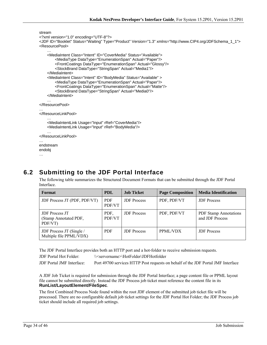```
stream 
<?xml version="1.0" encoding="UTF-8"?> 
<JDF ID="Booklet" Status="Waiting" Type="Product" Version="1.3" xmlns="http://www.CIP4.org/JDFSchema_1_1"> 
<ResourcePool> 
    … 
    <MediaIntent Class="Intent" ID="CoverMedia" Status="Available"> 
        <MediaType DataType="EnumerationSpan" Actual="Paper"/> 
        <FrontCoatings DataType="EnumerationSpan" Actual="Glossy"/> 
        <StockBrand DataType="StringSpan" Actual="Media1"/> 
    </MediaIntent> 
    <MediaIntent Class="Intent" ID="BodyMedia" Status="Available" > 
        <MediaType DataType="EnumerationSpan" Actual="Paper"/> 
        <FrontCoatings DataType="EnumerationSpan" Actual="Matte"/> 
        <StockBrand DataType="StringSpan" Actual="Media0"/> 
    </MediaIntent> 
    … 
</ResourcePool> 
… 
</ResourceLinkPool> 
    … 
    <MediaIntentLink Usage="Input" rRef="CoverMedia"/> 
    <MediaIntentLink Usage="Input" rRef="BodyMedia"/> 
    … 
</ResourceLinkPool> 
… 
endstream 
endobj
```

```
…
```
## **6.2 Submitting to the JDF Portal Interface**

The following table summarizes the Structured Document Formats that can be submitted through the JDF Portal Interface.

| Format                                                    | <b>PDL</b>           | <b>Job Ticket</b>  | <b>Page Composition</b> | <b>Media Identification</b>                     |
|-----------------------------------------------------------|----------------------|--------------------|-------------------------|-------------------------------------------------|
| JDF Process JT (PDF, PDF/VT)                              | <b>PDF</b><br>PDF/VT | <b>JDF</b> Process | PDF, PDF/VT             | <b>JDF</b> Process                              |
| <b>JDF</b> Process JT<br>(Stamp Annotated PDF,<br>PDF/VT) | PDF.<br>PDF/VT       | <b>JDF</b> Process | PDF, PDF/VT             | <b>PDF Stamp Annotations</b><br>and JDF Process |
| JDF Process JT (Single /<br>Multiple file PPML/VDX)       | <b>PDF</b>           | <b>JDF</b> Process | PPML/VDX                | <b>JDF</b> Process                              |

The JDF Portal Interface provides both an HTTP port and a hot-folder to receive submission requests.

JDF Portal Hot Folder: \\<servername>\HotFolder\JDFHotfolder

JDF Portal JMF Interface: Port 49700 services HTTP Post requests on behalf of the JDF Portal JMF Interface

A JDF Job Ticket is required for submission through the JDF Portal Interface; a page content file or PPML layout file cannot be submitted directly. Instead the JDF Process job ticket must reference the content file in its **RunList/LayoutElement/FileSpec**.

The first Combined Process Node found within the root JDF element of the submitted job ticket file will be processed. There are no configurable default job ticket settings for the JDF Portal Hot Folder; the JDF Process job ticket should include all required job settings.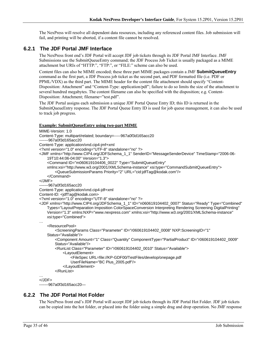The NexPress will resolve all dependent data resources, including any referenced content files. Job submission will fail, and printing will be aborted, if a content file cannot be resolved.

### **6.2.1 The JDF Portal JMF Interface**

The NexPress front end's JDF Portal will accept JDF job tickets through its JDF Portal JMF Interface. JMF Submissions use the SubmitQueueEntry command; the JDF Process Job Ticket is usually packaged as a MIME attachment but URIs of "HTTP:", "FTP:", or "FILE:" scheme can also be used.

Content files can also be MIME encoded; these three part MIME packages contain a JMF **SubmitQueueEntry** command as the first part, a JDF Process job ticket as the second part, and PDF formatted file (i.e. PDF or PPML/VDX) as the third part. The MIME header for the content file attachment should specify "Content-Disposition: Attachment" and "Content-Type: application/pdf"; failure to do so limits the size of the attachment to several hundred megabytes. The content filename can also be specified with the disposition; e.g. Content-Disposition: Attachment; filename="test.pdf".

The JDF Portal assigns each submission a unique JDF Portal Queue Entry ID; this ID is returned in the SubmitQueueEntry response. The JDF Portal Queue Entry ID is used for job queue management, it can also be used to track job progress.

#### **Example: SubmitQueueEntry using two-part MIME**

```
MIME-Version: 1.0 
Content-Type: multipart/related; boundary=-----967a0f3d165acc20 
-------967a0f3d165acc20 
Content-Type: application/vnd.cip4-jmf+xml 
<?xml version="1.0" encoding="UTF-8" standalone="no" ?> 
<JMF xmlns="http://www.CIP4.org/JDFSchema_1_1" SenderID="MessageSenderDevice" TimeStamp="2006-06-
    19T10:44:06-04:00" Version="1.3"> 
     <Command ID="m060619104406_0022" Type="SubmitQueueEntry" 
    xmlns:xsi="http://www.w3.org/2001/XMLSchema-instance" xsi:type="CommandSubmitQueueEntry"> 
         <QueueSubmissionParams Priority="2" URL="cid:jdfTag@kodak.com"/> 
     </Command> 
</JMF> 
-------967a0f3d165acc20 
Content-Type: application/vnd.cip4-jdf+xml 
Content-ID: <jdfTag@kodak.com> 
<?xml version="1.0" encoding="UTF-8" standalone="no" ?> 
<JDF xmlns="http://www.CIP4.org/JDFSchema_1_1" ID="n060619104402_0007" Status="Ready" Type="Combined" 
    Types="LayoutPreparation Imposition ColorSpaceConversion Interpreting Rendering Screening DigitalPrinting" 
    Version="1.3" xmlns:NXP="www.nexpress.com" xmlns:xsi="http://www.w3.org/2001/XMLSchema-instance" 
    xsi:type="Combined"> 
… 
     <ResourcePool> 
         <ScreeningParams Class="Parameter" ID="r060619104402_0008" NXP:ScreeningID="1" 
    Status="Available"/> 
        <Component Amount="1" Class="Quantity" ComponentType="PartialProduct" ID="r060619104402_0009" 
        Status="Available"/> 
         <RunList Class="Parameter" ID="r060619104402_0010" Status="Available"> 
             <LayoutElement> 
                 <FileSpec URL=file://KP-GDF00/TestFiles/develop/onepage.pdf 
                UserFileName="BC Plus_2005.pdf"/> 
             </LayoutElement> 
         </RunList> 
… 
</JDF> 
-------967a0f3d165acc20—
```
#### **6.2.2 The JDF Portal Hot Folder**

The NexPress front end's JDF Portal will accept JDF job tickets through its JDF Portal Hot Folder. JDF job tickets can be copied into the hot folder, or placed into the folder using a simple drag and drop operation. No JMF response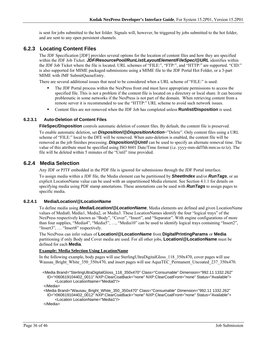is sent for jobs submitted to the hot folder. Signals will, however, be triggered by jobs submitted to the hot folder, and are sent to any open persistent channels.

### **6.2.3 Locating Content Files**

The JDF Specification [JDF] provides several options for the location of content files and how they are specified within the JDF Job Ticket. *JDF/ResourcePool/RunList/LayoutElement/FileSpec/@URL* identifies within the JDF Job Ticket where the file is located. URL schemes of "FILE:", "FTP:", and "HTTP:" are supported. "CID:" is also supported for MIME packaged submissions using a MIME file to the JDF Portal Hot Folder, or a 3-part MIME with JMF SubmitQueueEntry.

There are several additional issues that need to be considered when a URL scheme of "FILE:" is used:

- The JDF Portal process within the NexPress front end must have appropriate permissions to access the specified file. This is not a problem if the content file is located on a directory or local share. It can become problematic in some networks if the NexPress is not part of the domain. When retrieving content from a remote server it is recommended to use the "HTTP:" URL scheme to avoid such network issues.
- Content files are not removed when the JDF Job has completed unless **Runlist/Disposition** is used.

#### **6.2.3.1 Auto-Deletion of Content Files**

**FileSpec/Disposition** controls automatic deletion of content files. By default, the content file is preserved.

To enable automatic deletion, set *Disposition/@DispositionAction*="Delete". Only content files using a URL scheme of "FILE:" local to the DFE will be removed. When auto-deletion is enabled, the content file will be removed as the job finishes processing. *Disposition/@Until* can be used to specify an alternate removal time. The value of this attribute must be specified using ISO 8601 Date/Time format (i.e. yyyy-mm-ddThh:mm:ss-tz:tz). The file will be deleted within 5 minutes of the "Until" time provided.

#### **6.2.4 Media Selection**

Any JDF or PJTF embedded in the PDF file is ignored for submissions through the JDF Portal interface.

To assign media within a JDF file, the Media element can be partitioned by *SheetIndex* and/or *RunTags*, or an explicit LocationName value can be used with an unpartitioned Media element. See Section 4.1.1 for details on specifying media using PDF stamp annotations. These annotations can be used with *RunTags* to assign pages to specific media.

#### **6.2.4.1 Media/Location/@LocationName**

To define media using *Media/Location/@LocationName*, Media elements are defined and given LocationName values of Media0, Media1, Media2, or Media3. These LocationNames identify the four "logical trays" of the NexPress respectively known as "Body", "Cover", "Insert", and "Separator". With engine configurations of more than four supplies, "Media4", "Media5", …, "Media10" can be used to identify logical trays containing "Insert2", "Insert3", ... "Insert8" respectively.

The NexPress can infer values of **Location/@LocationName** from **DigitalPrintingParams** or **Media** partitioning if only Body and Cover media are used. For all other jobs, **Location/@LocationName** must be defined for each **Media**.

#### **Example: Media Selection Using LocationName**

In the following example, body pages will use SterlingUltraDigitalGloss\_118\_350x470, cover pages will use Wausau\_Bright\_White\_350\_350x470, and insert pages will use AquaTEC\_Permanent\_Uncoated\_237\_350x470.

 <Media Brand="SterlingUltraDigitalGloss\_118\_350x470" Class="Consumable" Dimension="992.11 1332.262" ID="r060619104402\_0011" NXP:ClearCoatBack="none" NXP:ClearCoatFront="none" Status="Available"> <Location LocationName="Media0"/>

</Media>

 <Media Brand="Wausau\_Bright\_White\_350\_350x470" Class="Consumable" Dimension="992.11 1332.262" ID="r060619104402\_0012" NXP:ClearCoatBack="none" NXP:ClearCoatFront="none" Status="Available"> <Location LocationName="Media1"/>

</Media>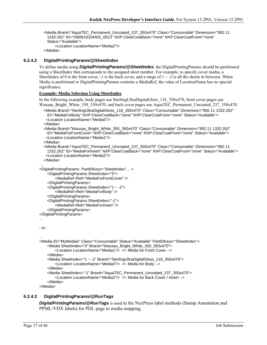<Media Brand="AquaTEC\_Permanent\_Uncoated\_237\_350x470" Class="Consumable" Dimension="992.11 1332.262" ID="r060619104402\_0013" NXP:ClearCoatBack="none" NXP:ClearCoatFront="none" Status="Available"> <Location LocationName="Media2"/>

</Media>

#### **6.2.4.2 DigitalPrintingParams/@SheetIndex**

To define media using *DigitalPrintingParams/@SheetIndex*, the DigitalPrintingParams should be partitioned using a SheetIndex that corresponds to the assigned sheet number. For example, to specify cover media, a SheetIndex of 0 is the front cover, -1 is the back cover, and a range of  $1 \sim -2$  is all the sheets in between. When Media is partitioned or DigitalPrintingParams contains a MediaRef, the value of LocationName has no special significance.

#### **Example: Media Selection Using SheetIndex**

In the following example, body pages use SterlingUltraDigitalGloss\_118\_350x470, front cover pages use Wausau\_Bright\_White\_350\_350x470, and back cover pages use AquaTEC\_Permanent\_Uncoated\_237\_350x470.

 <Media Brand="SterlingUltraDigitalGloss\_118\_350x470" Class="Consumable" Dimension="992.11 1332.262" ID="MediaForBody" NXP:ClearCoatBack="none" NXP:ClearCoatFront="none" Status="Available"> <Location LocationName="Media0"/>

</Media>

 <Media Brand="Wausau\_Bright\_White\_350\_350x470" Class="Consumable" Dimension="992.11 1332.262" ID="MediaForFrontCover" NXP:ClearCoatBack="none" NXP:ClearCoatFront="none" Status="Available"> <Location LocationName="Media1"/>

</Media>

 <Media Brand="AquaTEC\_Permanent\_Uncoated\_237\_350x470" Class="Consumable" Dimension="992.11 1332.262" ID="MediaForInsert" NXP:ClearCoatBack="none" NXP:ClearCoatFront="none" Status="Available"> <Location LocationName="Media2"/>

</Media>

```
… 
<DigitalPrintingParams PartIDKeys="SheetIndex"… >
```

```
<DigitalPrintingParams SheetIndex="0">
```
<MediaRef rRef="MediaForFrontCover" />

```
</DigitalPrintingParams>
```

```
<DigitalPrintingParams SheetIndex="1 ~ -2"> 
    <MediaRef rRef="MediaForBody" />
```

```
</DigitalPrintingParams>
```

```
<DigitalPrintingParams SheetIndex="-1">
```
<MediaRef rRef="MediaForInsert" />

```
</DigitalPrintingParams>
```

```
</DigitalPrintingParams>
```
### …

```
- or -
```
…

```
<Media ID="MyMedias" Class="Consumable" Status="Available" PartIDKeys="SheetIndex"> 
    <Media SheetIndex="0" Brand="Wausau_Bright_White_350_350x470"> 
        <Location LocationName="Media1"/> <!- Media for Front Cover --> 
    </Media> 
    <Media SheetIndex="1 ~ -2" Brand="SterlingUltraDigitalGloss_118_350x470"> 
        <Location LocationName="Media0"/> <!- Media for Body --> 
    </Media> 
    <Media SheetIndex="-1" Brand="AquaTEC_Permanent_Uncoated_237_350x470"> 
        <Location LocationName="Media2"/> <!- Media for Back Cover / Insert --> 
    </Media>
```
</Media>

#### **6.2.4.3 DigitalPrintingParams/@RunTags**

*DigitalPrintingParams/@RunTags* is used in the NexPress label methods (Stamp Annotation and PPML/VDX labels) for PDL page to media mapping.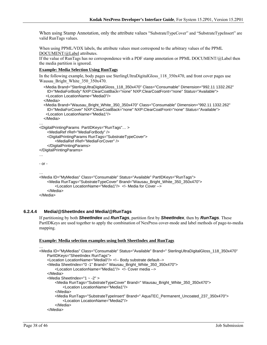When using Stamp Annotation, only the attribute values "SubstrateTypeCover" and "SubstrateTypeInsert" are valid RunTags values.

When using PPML/VDX labels, the attribute values must correspond to the arbitrary values of the PPML DOCUMENT/@Label attributes.

If the value of RunTags has no correspondence with a PDF stamp annotation or PPML DOCUMENT/@Label then the media partition is ignored.

#### **Example: Media Selection Using RunTags**

In the following example, body pages use SterlingUltraDigitalGloss 118 350x470, and front cover pages use Wausau\_Bright\_White\_350\_350x470.

```
 <Media Brand="SterlingUltraDigitalGloss_118_350x470" Class="Consumable" Dimension="992.11 1332.262" 
    ID="MediaForBody" NXP:ClearCoatBack="none" NXP:ClearCoatFront="none" Status="Available"> 
    <Location LocationName="Media0"/> 
   </Media> 
   <Media Brand="Wausau_Bright_White_350_350x470" Class="Consumable" Dimension="992.11 1332.262" 
    ID="MediaForCover" NXP:ClearCoatBack="none" NXP:ClearCoatFront="none" Status="Available"> 
    <Location LocationName="Media1"/> 
   </Media> 
… 
<DigitalPrintingParams PartIDKeys="RunTags"… > 
    <MediaRef rRef="MediaForBody" /> 
    <DigitalPrintingParams RunTags="SubstrateTypeCover"> 
        <MediaRef rRef="MediaForCover" /> 
    </DigitalPrintingParams> 
</DigitalPrintingParams> 
… 
- or - 
… 
<Media ID="MyMedias" Class="Consumable" Status="Available" PartIDKeys="RunTags"> 
    <Media RunTags="SubstrateTypeCover" Brand="Wausau_Bright_White_350_350x470"> 
        <Location LocationName="Media1"/> <!- Media for Cover --> 
    </Media> 
</Media>
```
#### **6.2.4.4 Media/@SheetIndex and Media/@RunTags**

If partitioning by both *SheetIndex* and *RunTags*, partition first by *SheetIndex*, then by *RunTags*. These PartIDKeys are used together to apply the combination of NexPress cover-mode and label methods of page-to-media mapping.

#### **Example: Media selection examples using both SheetIndex and RunTags**

```
<Media ID="MyMedias" Class="Consumable" Status="Available" Brand=" SterlingUltraDigitalGloss_118_350x470" 
    PartIDKeys="SheetIndex RunTags"> 
    <Location LocationName="Media0"/> <!-- Body substrate default--> 
    <Media SheetIndex="0 -1" Brand=" Wausau_Bright_White_350_350x470"> 
        <Location LocationName="Media1"/> <!- Cover media --> 
    </Media> 
    <Media SheetIndex="1 ~ -2" > 
        <Media RunTags="SubstrateTypeCover" Brand=" Wausau_Bright_White_350_350x470"> 
            <Location LocationName="Media1"/> 
        </Media> 
        <Media RunTags="SubstrateTypeInsert" Brand=" AquaTEC_Permanent_Uncoated_237_350x470"> 
            <Location LocationName="Media2"/> 
        </Media> 
    </Media>
```
…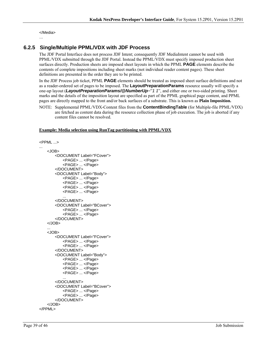</Media>

#### …

### **6.2.5 Single/Multiple PPML/VDX with JDF Process**

The JDF Portal Interface does not process JDF Intent; consequently JDF MediaIntent cannot be used with PPML/VDX submitted through the JDF Portal. Instead the PPML/VDX must specify imposed production sheet surfaces directly. Production sheets are imposed sheet layouts in which the PPML **PAGE** elements describe the contents of complete impositions including sheet marks (not individual reader content pages). These sheet definitions are presented in the order they are to be printed.

In the JDF Process job ticket, PPML **PAGE** elements should be treated as imposed sheet surface definitions and not as a reader-ordered set of pages to be imposed. The **LayoutPreparationParams** resource usually will specify a one-up layout (*LayoutPreparationParams/@NumberUp*="*1 1*", and either one or two-sided printing. Sheet marks and the details of the imposition layout are specified as part of the PPML graphical page content, and PPML pages are directly mapped to the front and/or back surfaces of a substrate. This is known as **Plain Imposition.**

NOTE: Supplemental PPML/VDX-Content files from the **ContentBindingTable** (for Multiple-file PPML/VDX) are fetched as content data during the resource collection phase of job execution. The job is aborted if any content files cannot be resolved.

#### **Example: Media selection using RunTag partitioning with PPML/VDX**

```
<PPML ...> 
... 
    <JOB> 
        <DOCUMENT Label="FCover"> 
            <PAGE> ... </Page> 
            <PAGE> ... </Page> 
        </DOCUMENT> 
        <DOCUMENT Label="Body"> 
            <PAGE> ... </Page> 
            <PAGE> ... </Page> 
            <PAGE> ... </Page> 
            <PAGE> ... </Page> 
            ... 
        </DOCUMENT> 
        <DOCUMENT Label="BCover"> 
            <PAGE> ... </Page> 
            <PAGE> ... </Page> 
        </DOCUMENT> 
    </JOB> 
    ... 
    <JOB> 
        <DOCUMENT Label="FCover"> 
            <PAGE> ... </Page> 
            <PAGE> ... </Page> 
        </DOCUMENT> 
        <DOCUMENT Label="Body"> 
            <PAGE> ... </Page> 
            <PAGE> ... </Page> 
            <PAGE> ... </Page> 
            <PAGE> ... </Page> 
            ... 
        </DOCUMENT> 
        <DOCUMENT Label="BCover"> 
            <PAGE> ... </Page> 
            <PAGE> ... </Page> 
        </DOCUMENT> 
    </JOB> 
</PPML>
```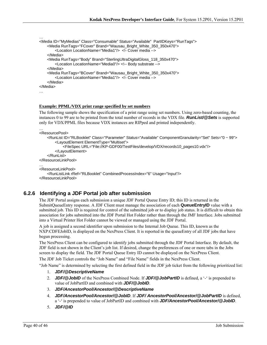```
<Media ID="MyMedias" Class="Consumable" Status="Available" PartIDKeys="RunTags"> 
    <Media RunTags="FCover" Brand="Wausau_Bright_White_350_350x470"> 
        <Location LocationName="Media1"/> <!- Cover media --> 
    </Media> 
    <Media RunTags="Body" Brand="SterlingUltraDigitalGloss_118_350x470"> 
        <Location LocationName="Media0"/> <!-- Body substrate --> 
    </Media> 
    <Media RunTags="BCover" Brand="Wausau_Bright_White_350_350x470"> 
        <Location LocationName="Media1"/> <!- Cover media --> 
    </Media> 
</Media> 
…
```
#### **Example: PPML/VDX print range specified by set numbers**

The following sample shows the specification of a print range using set numbers. Using zero-based counting, the instances 0 to 99 are to be printed from the total number of records in the VDX file. *RunList/@Sets* is supported only for VDX/PPML files because VDX instances are RIPped and printed independently.

```
… 
<ResourcePool>
```
…

```
<RunList ID="RLBooklet" Class="Parameter" Status="Available" ComponentGranularity="Set" Sets="0 ~ 99"> 
        <LayoutElement ElementType="Multiset"> 
            <FileSpec URL="File://KP-GDF00/TestFiles/develop/VDX/records10_pages10.vdx"/> 
        </LayoutElement> 
    </RunList> 
</ResourceLinkPool> 
… 
<ResourceLinkPool> 
    <RunListLink rRef="RLBooklet" CombinedProcessIndex="6" Usage="Input"/> 
</ResourceLinkPool>
```
### **6.2.6 Identifying a JDF Portal job after submission**

The JDF Portal assigns each submission a unique JDF Portal Queue Entry ID; this ID is returned in the SubmitQueueEntry response. A JDF Client must manage the association of each **QueueEntryID** value with a submitted job. This ID is required for control of the submitted job or to display job status. It is difficult to obtain this association for jobs submitted into the JDF Portal Hot Folder rather than through the JMF Interface. Jobs submitted into a Virtual Printer Hot Folder cannot be viewed or managed using the JDF Portal.

A job is assigned a second identifier upon submission to the Internal Job Queue. This ID, known as the NXP:CDFEJobID, is displayed on the NexPress Client. It is reported in the queueEntry of all JDF jobs that have begun processing.

The NexPress Client can be configured to identify jobs submitted through the JDF Portal Interface. By default, the JDF field is not shown in the Client's job list. If desired, change the preferences of one or more tabs in the Jobs screen to display the field. The JDF Portal Queue Entry ID cannot be displayed on the NexPress Client.

The JDF Job Ticket controls the "Job Name" and "File Name" fields in the NexPress Client.

"Job Name" is determined by selecting the first defined field in the JDF job ticket from the following prioritized list: 1. *JDF/@DescriptiveName*

- 2. *JDF/@JobID* of the NexPress Combined Node. If *JDF/@JobPartID* is defined, a '-' is prepended to value of JobPartID and combined with *JDF/@JobID*.
- 3. *JDF/AncestorPool/Ancestor/@DescriptiveName*
- 4. *JDF/AncestorPool/Ancestor/@JobID*. If *JDF/ AncestorPool/Ancestor/@JobPartID* is defined, a '-' is prepended to value of JobPartID and combined with *JDF/AncestorPool/Ancestor/@JobID*.
- 5. *JDF/@ID*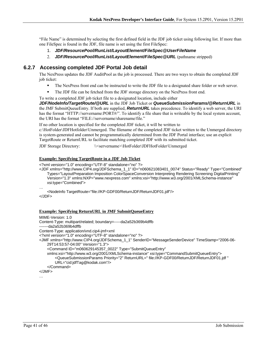"File Name" is determined by selecting the first defined field in the JDF job ticket using following list. If more than one FileSpec is found in the JDF, file name is set using the first FileSpec:

- 1. *JDF/ResourcePool/RunList/LayoutElement/FileSpec@UserFileName*
- 2. *JDF/ResourcePool/RunList/LayoutElement/FileSpec@URL* (pathname stripped)

### **6.2.7 Accessing completed JDF Portal Job detail**

The NexPress updates the JDF AuditPool as the job is processed. There are two ways to obtain the completed JDF job ticket:

- The NexPress front end can be instructed to write the JDF file to a designated share folder or web server.
- The JDF file can be fetched from the JDF storage directory on the NexPress front end.
- To write a completed JDF job ticket file to a designated location, include either

*JDF/NodeInfo/TargetRoute/@URL* in the JDF Job Ticket or *QueueSubmissionParams/@ReturnURL* in the JMF SubmitQueueEntry. If both are supplied, *ReturnURL* takes precedence. To identify a web server, the URI has the format "HTTP://servername:PORT#/". To identify a file share that is writeable by the local system account, the URI has the format "FILE://servername/sharename/file."

If no other location is specified for the completed JDF ticket, it will be written to

c:\HotFolder\JDFHotfolder\Unmerged. The filename of the completed JDF ticket written to the Unmerged directory is system-generated and cannot be programmatically determined from the JDF Portal interface; use an explicit TargetRoute or ReturnURL to facilitate matching completed JDF with its submitted ticket.

JDF Storage Directory: \\<servername>\HotFolder\JDFHotFolder\Unmerged

#### **Example: Specifying TargetRoute in a JDF Job Ticket**

<?xml version="1.0" encoding="UTF-8" standalone="no" ?>

<JDF xmlns="http://www.CIP4.org/JDFSchema\_1\_1" ID="n060621083401\_0074" Status="Ready" Type="Combined" Types="LayoutPreparation Imposition ColorSpaceConversion Interpreting Rendering Screening DigitalPrinting" Version="1.3" xmlns:NXP="www.nexpress.com" xmlns:xsi="http://www.w3.org/2001/XMLSchema-instance" xsi:type="Combined">

…

<NodeInfo TargetRoute="file://KP-GDF00/ReturnJDF/ReturnJDF01.jdf"/> </JDF>

#### **Example: Specifying ReturnURL in JMF SubmitQueueEntry**

MIME-Version: 1.0 Content-Type: multipart/related; boundary=-----da2a52b369b4dffb -------da2a52b369b4dffb Content-Type: application/vnd.cip4-jmf+xml <?xml version="1.0" encoding="UTF-8" standalone="no" ?> <JMF xmlns="http://www.CIP4.org/JDFSchema\_1\_1" SenderID="MessageSenderDevice" TimeStamp="2006-06- 29T14:53:57-04:00" Version="1.3"> <Command ID="m060629145357\_0022" Type="SubmitQueueEntry" xmlns:xsi="http://www.w3.org/2001/XMLSchema-instance" xsi:type="CommandSubmitQueueEntry"> <QueueSubmissionParams Priority="2" ReturnURL=" file://KP-GDF00/ReturnJDF/ReturnJDF01.jdf " URL="cid:jdfTag@kodak.com"/> </Command> </JMF>

…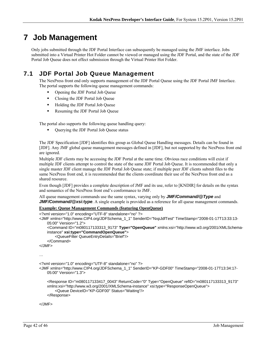# **7 Job Management**

Only jobs submitted through the JDF Portal Interface can subsequently be managed using the JMF interface. Jobs submitted into a Virtual Printer Hot Folder cannot be viewed or managed using the JDF Portal, and the state of the JDF Portal Job Queue does not effect submission through the Virtual Printer Hot Folder.

## **7.1 JDF Portal Job Queue Management**

The NexPress front end only supports management of the JDF Portal Queue using the JDF Portal JMF Interface. The portal supports the following queue management commands:

- Opening the JDF Portal Job Queue
- Closing the JDF Portal Job Queue
- **Holding the JDF Portal Job Queue**
- Resuming the JDF Portal Job Queue

The portal also supports the following queue handling query:

Querying the JDF Portal Job Queue status

The JDF Specification [JDF] identifies this group as Global Queue Handling messages. Details can be found in [JDF]. Any JMF global queue management messages defined in [JDF], but not supported by the NexPress front end are ignored.

Multiple JDF clients may be accessing the JDF Portal at the same time. Obvious race conditions will exist if multiple JDF clients attempt to control the state of the same JDF Portal Job Queue. It is recommended that only a single master JDF client manage the JDF Portal Job Queue state; if multiple peer JDF clients submit files to the same NexPress front end, it is recommended that the clients coordinate their use of the NexPress front end as a shared resource.

Even though [JDF] provides a complete description of JMF and its use, refer to [KNDIR] for details on the syntax and semantics of the NexPress front end's conformance to JMF.

All queue management commands use the same syntax, varying only by *JMF/Command/@Type* and *JMF/Command/@xsi:type*. A single example is provided as a reference for all queue management commands.

#### **Example: Queue Management Commands (featuring OpenQueue)**

```
<?xml version="1.0" encoding="UTF-8" standalone="no" ?> 
<JMF xmlns="http://www.CIP4.org/JDFSchema_1_1" SenderID="NxpJdfTest" TimeStamp="2008-01-17T13:33:13-
   05:00" Version="1.2"> 
     <Command ID="m080117133313_9173" Type="OpenQueue" xmlns:xsi="http://www.w3.org/2001/XMLSchema-
   instance" xsi:type="CommandOpenQueue"> 
         <QueueFilter QueueEntryDetails="Brief"/> 
     </Command> 
</JMF> 
… 
<?xml version="1.0" encoding="UTF-8" standalone="no" ?> 
<JMF xmlns="http://www.CIP4.org/JDFSchema_1_1" SenderID="KP-GDF00" TimeStamp="2008-01-17T13:34:17-
   05:00" Version="1.3"> 
     <Response ID="m080117133417_0043" ReturnCode="0" Type="OpenQueue" refID="m080117133313_9173" 
   xmlns:xsi="http://www.w3.org/2001/XMLSchema-instance" xsi:type="ResponseOpenQueue"> 
         <Queue DeviceID="KP-GDF00" Status="Waiting"/> 
     </Response>
```
</JMF>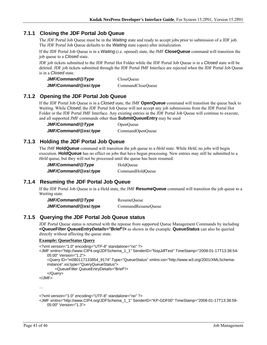### **7.1.1 Closing the JDF Portal Job Queue**

The JDF Portal Job Queue must be in the *Waiting* state and ready to accept jobs prior to submission of a JDF job. The JDF Portal Job Queue defaults to the *Waiting* state (open) after initialization.

If the JDF Portal Job Queue is in a *Waiting* (i.e. opened) state, the JMF **CloseQueue** command will transition the job queue to a *Closed* state.

JDF job tickets submitted to the JDF Portal Hot Folder while the JDF Portal Job Queue is in a *Closed* state will be deleted. JDF job tickets submitted through the JDF Portal JMF Interface are rejected when the JDF Portal Job Queue is in a *Closed* state.

| JMF/Command/@Type     | CloseOueue        |
|-----------------------|-------------------|
| JMF/Command/@xsi:type | CommandCloseQueue |

### **7.1.2 Opening the JDF Portal Job Queue**

If the JDF Portal Job Queue is in a *Closed* state, the JMF **OpenQueue** command will transition the queue back to *Waiting*. While *Closed*, the JDF Portal Job Queue will not accept any job submissions from the JDF Portal Hot Folder or the JDF Portal JMF Interface. Any existing entries in the JDF Portal Job Queue will continue to execute, and all supported JMF commands other than **SubmitQueueEntry** may be used

*JMF/Command/@Type* OpenQueue *JMF/Command/@xsi:type*CommandOpenQueue

### **7.1.3 Holding the JDF Portal Job Queue**

The JMF **HoldQueue** command will transition the job queue to a *Held* state. While *Held*, no jobs will begin execution. **HoldQueue** has no effect on jobs that have begun processing. New entries may still be submitted to a *Held* queue, but they will not be processed until the queue has been resumed.

| JMF/Command/@Type     | HoldOueue        |
|-----------------------|------------------|
| JMF/Command/@xsi:type | CommandHoldQueue |

### **7.1.4 Resuming the JDF Portal Job Queue**

If the JDF Portal Job Queue is in a Held state, the JMF **ResumeQueue** command will transition the job queue to a *Waiting* state.

| JMF/Command/@Type     | ResumeOueue        |
|-----------------------|--------------------|
| JMF/Command/@xsi:type | CommandResumeQueue |

### **7.1.5 Querying the JDF Portal Job Queue status**

JDF Portal Queue status is returned with the reponse from supported Queue Management Commands by including **<QueueFilter** *QueueEntryDetails="Brief***"/>** as shown in the example. **QueueStatus** can also be queried directly without affecting the queue state.

#### **Example: QueueStatus Query**

```
<?xml version="1.0" encoding="UTF-8" standalone="no" ?> 
<JMF xmlns="http://www.CIP4.org/JDFSchema_1_1" SenderID="NxpJdfTest" TimeStamp="2008-01-17T13:38:54-
    05:00" Version="1.2"> 
     <Query ID="m080117133854_9174" Type="QueueStatus" xmlns:xsi="http://www.w3.org/2001/XMLSchema-
    instance" xsi:type="QueryQueueStatus"> 
         <QueueFilter QueueEntryDetails="Brief"/> 
     </Query> 
</JMF>
```

```
…
```

```
<?xml version="1.0" encoding="UTF-8" standalone="no" ?>
```

```
<JMF xmlns="http://www.CIP4.org/JDFSchema_1_1" SenderID="KP-GDF00" TimeStamp="2008-01-17T13:38:59-
   05:00" Version="1.3">
```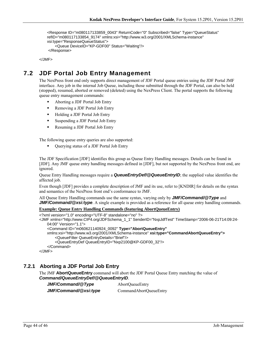```
 <Response ID="m080117133859_0043" ReturnCode="0" Subscribed="false" Type="QueueStatus" 
refID="m080117133854_9174" xmlns:xsi="http://www.w3.org/2001/XMLSchema-instance" 
xsi:type="ResponseQueueStatus"> 
     <Queue DeviceID="KP-GDF00" Status="Waiting"/> 
 </Response>
```
</JMF>

## **7.2 JDF Portal Job Entry Management**

The NexPress front end only supports direct management of JDF Portal queue entries using the JDF Portal JMF interface. Any job in the internal Job Queue, including those submitted through the JDF Portal, can also be held (stopped), resumed, aborted or removed (deleted) using the NexPress Client. The portal supports the following queue entry management commands:

- Aborting a JDF Portal Job Entry
- **Removing a JDF Portal Job Entry**
- Holding a JDF Portal Job Entry
- Suspending a JDF Portal Job Entry
- Resuming a JDF Portal Job Entry

The following queue entry queries are also supported:

Querying status of a JDF Portal Job Entry

The JDF Specification [JDF] identifies this group as Queue Entry Handling messages. Details can be found in [JDF]. Any JMF queue entry handling messages defined in [JDF], but not supported by the NexPress front end, are ignored.

Queue Entry Handling messages require a *QueueEntryDef/@QueueEntryID*; the supplied value identifies the affected job.

Even though [JDF] provides a complete description of JMF and its use, refer to [KNDIR] for details on the syntax and semantics of the NexPress front end's conformance to JMF.

All Queue Entry Handling commands use the same syntax, varying only by *JMF/Command/@Type* and *JMF/Command/@xsi:type.* A single example is provided as a reference for all queue entry handling commands.

#### **Example: Queue Entry Handling Commands (featuring AbortQueueEntry)**

```
<?xml version="1.0" encoding="UTF-8" standalone="no" ?> 
<JMF xmlns="http://www.CIP4.org/JDFSchema_1_1" SenderID="NxpJdfTest" TimeStamp="2006-06-21T14:09:24-
   04:00" Version="1.1"> 
     <Command ID="m060621140924_0092" Type="AbortQueueEntry"
   xmlns:xsi="http://www.w3.org/2001/XMLSchema-instance" xsi:type="CommandAbortQueueEntry">
         <QueueFilter QueueEntryDetails="Brief"/> 
         <QueueEntryDef QueueEntryID="Nxp2100@KP-GDF00_32"/> 
     </Command> 
</JMF>
```
### **7.2.1 Aborting a JDF Portal Job Entry**

The JMF **AbortQueueEntry** command will abort the JDF Portal Queue Entry matching the value of *Command/QueueEntryDef/@QueueEntryID*.

*JMF/Command/@Type*AbortQueueEntry *JMF/Command/@xsi:type*CommandAbortQueueEntry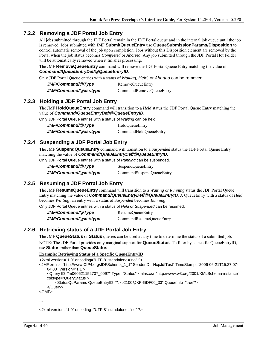### **7.2.2 Removing a JDF Portal Job Entry**

All jobs submitted through the JDF Portal remain in the JDF Portal queue and in the internal job queue until the job is removed. Jobs submitted with JMF **SubmitQueueEntry** use **QueueSubmissionParams/Disposition** to control automatic removal of the job upon completion. Jobs without this Disposition element are removed by the Portal when the job status becomes *Completed* or *Aborted*. Any job submitted through the JDF Portal Hot Folder will be automatically removed when it finishes processing.

The JMF **RemoveQueueEntry** command will remove the JDF Portal Queue Entry matching the value of *Command/QueueEntryDef/@QueueEntryID*.

Only JDF Portal Queue entries with a status of *Waiting, Held,* or *Aborted* can be removed.

| JMF/Command/@Type     | RemoveQueueEntry        |
|-----------------------|-------------------------|
| JMF/Command/@xsi:type | CommandRemoveQueueEntry |

### **7.2.3 Holding a JDF Portal Job Entry**

The JMF **HoldQueueEntry** command will transition to a *Held* status the JDF Portal Queue Entry matching the value of *Command/QueueEntryDef/@QueueEntryID*.

Only JDF Portal Queue entries with a status of *Waiting* can be held.

| JMF/Command/@Type     | HoldQueueEntry        |
|-----------------------|-----------------------|
| JMF/Command/@xsi:type | CommandHoldQueueEntry |

## **7.2.4 Suspending a JDF Portal Job Entry**

The JMF **SuspendQueueEntry** command will transition to a *Suspended* status the JDF Portal Queue Entry matching the value of *Command/QueueEntryDef/@QueueEntryID*.

Only JDF Portal Queue entries with a status of *Running* can be suspended.

| JMF/Command/@Type     | SuspendQueueEntry        |
|-----------------------|--------------------------|
| JMF/Command/@xsi:type | CommandSuspendQueueEntry |

## **7.2.5 Resuming a JDF Portal Job Entry**

The JMF **ResumeQueueEntry** command will transition to a *Waiting* or *Running* status the JDF Portal Queue Entry matching the value of *Command/QueueEntryDef/@QueueEntryID*. A QueueEntry with a status of *Held* becomes *Waiting*; an entry with a status of *Suspended* becomes *Running*.

Only JDF Portal Queue entries with a status of *Held* or *Suspended* can be resumed.

*JMF/Command/@Type*ResumeQueueEntry *JMF/Command/@xsi:type*CommandResumeQueueEntry

### **7.2.6 Retrieving status of a JDF Portal Job Entry**

The JMF **QueueStatus** or **Status** queries can be used at any time to determine the status of a submitted job.

NOTE: The JDF Portal provides only marginal support for **QueueStatus**. To filter by a specific QueueEntryID, use **Status** rather than **QueueStatus**.

#### **Example: Retrieving Status of a Specific QueueEntryID**

<?xml version="1.0" encoding="UTF-8" standalone="no" ?>

- <JMF xmlns="http://www.CIP4.org/JDFSchema\_1\_1" SenderID="NxpJdfTest" TimeStamp="2006-06-21T15:27:07- 04:00" Version="1.1">
	- <Query ID="m060621152707\_0097" Type="Status" xmlns:xsi="http://www.w3.org/2001/XMLSchema-instance" xsi:type="QueryStatus">

<StatusQuParams QueueEntryID="Nxp2100@KP-GDF00\_33" QueueInfo="true"/>

```
 </Query>
```
</JMF>

…

<?xml version="1.0" encoding="UTF-8" standalone="no" ?>